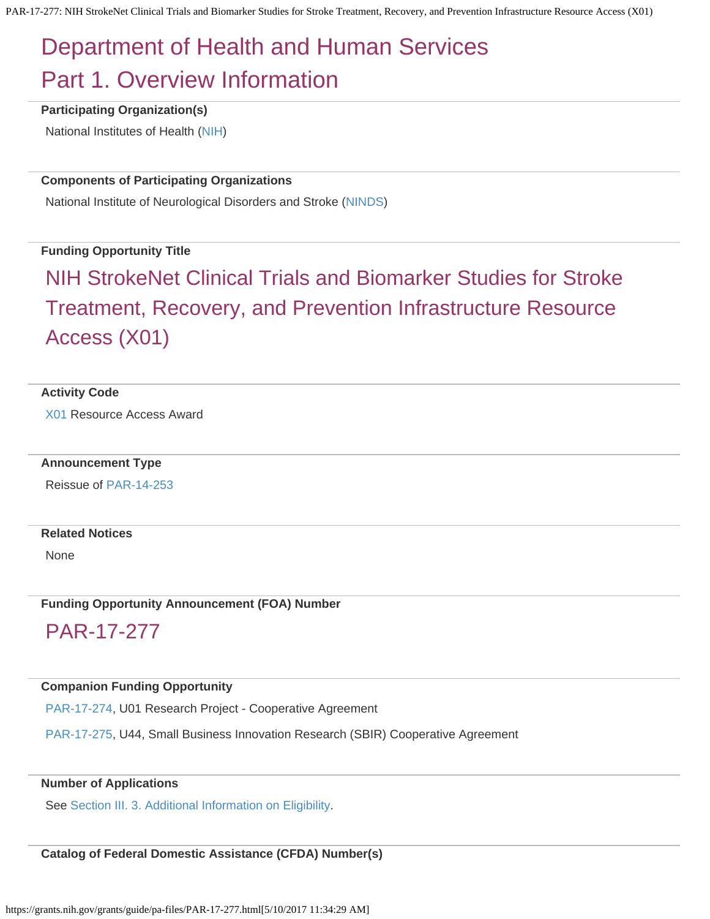# <span id="page-0-1"></span><span id="page-0-0"></span>Department of Health and Human Services Part 1. Overview Information

**Participating Organization(s)**

National Institutes of Health [\(NIH](http://www.nih.gov/))

#### **Components of Participating Organizations**

National Institute of Neurological Disorders and Stroke [\(NINDS](http://www.ninds.nih.gov/))

#### **Funding Opportunity Title**

# NIH StrokeNet Clinical Trials and Biomarker Studies for Stroke Treatment, Recovery, and Prevention Infrastructure Resource Access (X01)

#### **Activity Code**

[X01](https://grants.nih.gov/grants/funding/ac_search_results.htm?text_curr=x01&Search.x=0&Search.y=0&Search_Type=Activity) Resource Access Award

#### **Announcement Type**

Reissue of [PAR-14-253](https://grants.nih.gov/grants/guide/pa-files/PAR-14-253.html)

#### **Related Notices**

None

**Funding Opportunity Announcement (FOA) Number**

# PAR-17-277

#### **Companion Funding Opportunity**

[PAR-17-274](https://grants.nih.gov/grants/guide/pa-files/PAR-17-274.html), U01 Research Project - Cooperative Agreement

[PAR-17-275](https://grants.nih.gov/grants/guide/pa-files/PAR-17-275.html), U44, Small Business Innovation Research (SBIR) Cooperative Agreement

#### **Number of Applications**

See [Section III. 3.](#page-10-0) [Additional Information on Eligibility.](#page-10-0)

#### **Catalog of Federal Domestic Assistance (CFDA) Number(s)**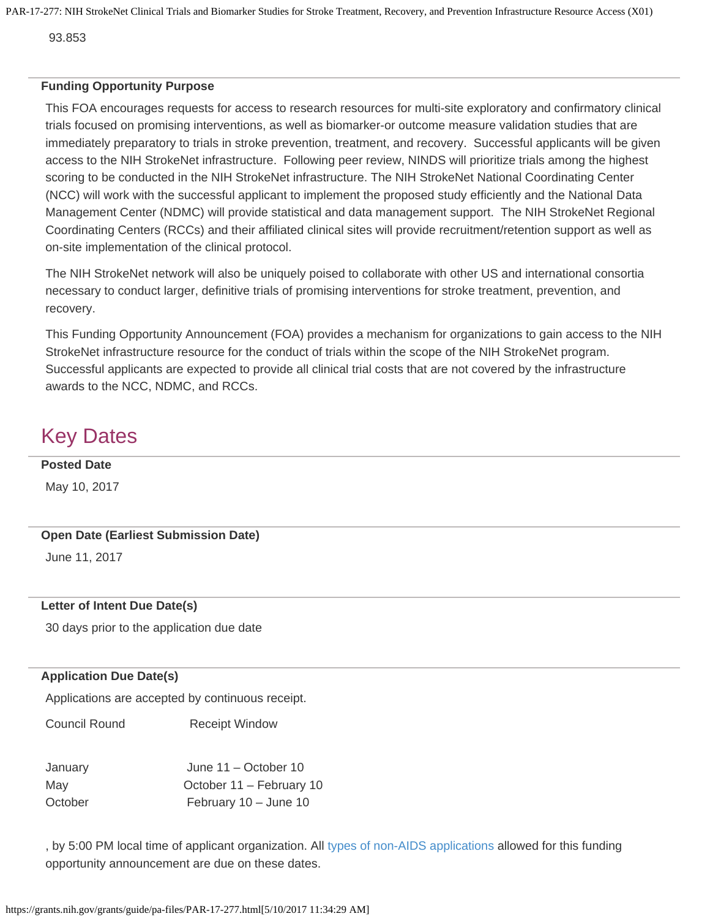93.853

#### **Funding Opportunity Purpose**

This FOA encourages requests for access to research resources for multi-site exploratory and confirmatory clinical trials focused on promising interventions, as well as biomarker-or outcome measure validation studies that are immediately preparatory to trials in stroke prevention, treatment, and recovery. Successful applicants will be given access to the NIH StrokeNet infrastructure. Following peer review, NINDS will prioritize trials among the highest scoring to be conducted in the NIH StrokeNet infrastructure. The NIH StrokeNet National Coordinating Center (NCC) will work with the successful applicant to implement the proposed study efficiently and the National Data Management Center (NDMC) will provide statistical and data management support. The NIH StrokeNet Regional Coordinating Centers (RCCs) and their affiliated clinical sites will provide recruitment/retention support as well as on-site implementation of the clinical protocol.

The NIH StrokeNet network will also be uniquely poised to collaborate with other US and international consortia necessary to conduct larger, definitive trials of promising interventions for stroke treatment, prevention, and recovery.

This Funding Opportunity Announcement (FOA) provides a mechanism for organizations to gain access to the NIH StrokeNet infrastructure resource for the conduct of trials within the scope of the NIH StrokeNet program. Successful applicants are expected to provide all clinical trial costs that are not covered by the infrastructure awards to the NCC, NDMC, and RCCs.

# Key Dates

#### **Posted Date**

May 10, 2017

#### **Open Date (Earliest Submission Date)**

June 11, 2017

#### **Letter of Intent Due Date(s)**

30 days prior to the application due date

#### **Application Due Date(s)**

Applications are accepted by continuous receipt.

Council Round Receipt Window

| January | June $11 -$ October 10   |
|---------|--------------------------|
| May     | October 11 – February 10 |
| October | February 10 - June 10    |

, by 5:00 PM local time of applicant organization. All [types of non-AIDS applications](#page-0-0) allowed for this funding opportunity announcement are due on these dates.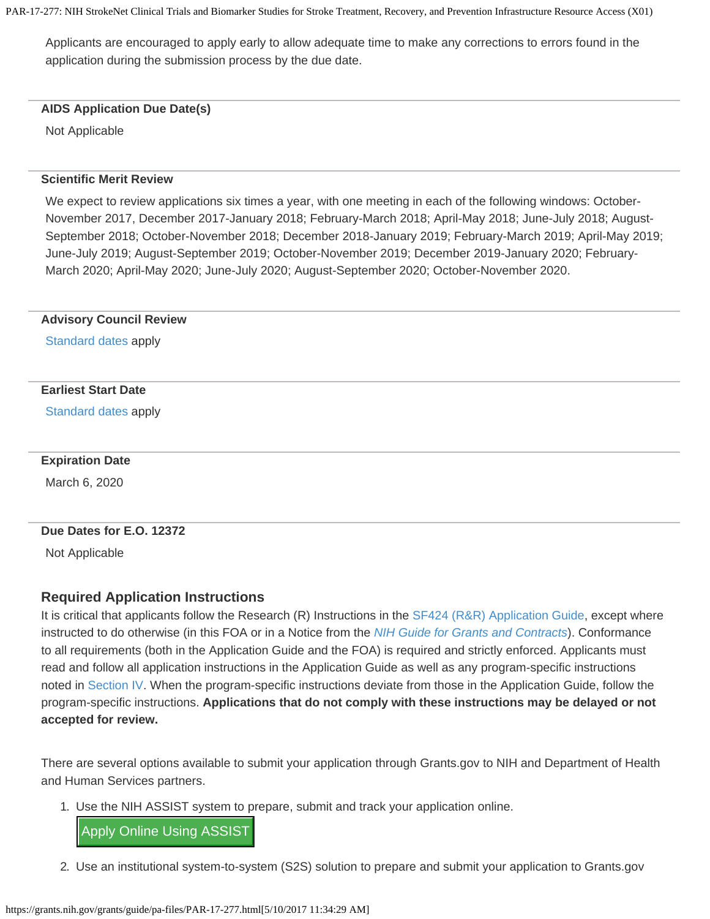Applicants are encouraged to apply early to allow adequate time to make any corrections to errors found in the application during the submission process by the due date.

#### **AIDS Application Due Date(s)**

Not Applicable

#### **Scientific Merit Review**

We expect to review applications six times a year, with one meeting in each of the following windows: October-November 2017, December 2017-January 2018; February-March 2018; April-May 2018; June-July 2018; August-September 2018; October-November 2018; December 2018-January 2019; February-March 2019; April-May 2019; June-July 2019; August-September 2019; October-November 2019; December 2019-January 2020; February-March 2020; April-May 2020; June-July 2020; August-September 2020; October-November 2020.

#### **Advisory Council Review**

[Standard](https://grants.nih.gov/grants/guide/url_redirect.htm?id=11113) [dates](https://grants.nih.gov/grants/guide/url_redirect.htm?id=11113) apply

#### **Earliest Start Date**

[Standard](https://grants.nih.gov/grants/guide/url_redirect.htm?id=11113) [dates](https://grants.nih.gov/grants/guide/url_redirect.htm?id=11113) apply

#### **Expiration Date**

March 6, 2020

#### **Due Dates for E.O. 12372**

Not Applicable

#### <span id="page-2-0"></span>**Required Application Instructions**

It is critical that applicants follow the Research (R) Instructions in the [SF424](https://grants.nih.gov/grants/guide/url_redirect.htm?id=12000) [\(R&R\) Application Guide](https://grants.nih.gov/grants/guide/url_redirect.htm?id=12000), except where instructed to do otherwise (in this FOA or in a Notice from the *[NIH](https://grants.nih.gov/grants/guide/) [Guide for Grants and Contracts](https://grants.nih.gov/grants/guide/)*). Conformance to all requirements (both in the Application Guide and the FOA) is required and strictly enforced. Applicants must read and follow all application instructions in the Application Guide as well as any program-specific instructions noted in [Section IV](#page-10-1). When the program-specific instructions deviate from those in the Application Guide, follow the program-specific instructions. **Applications that do not comply with these instructions may be delayed or not accepted for review.**

There are several options available to submit your application through Grants.gov to NIH and Department of Health and Human Services partners.

1. Use the NIH ASSIST system to prepare, submit and track your application online.

Apply Online Using ASSIST

2. Use an institutional system-to-system (S2S) solution to prepare and submit your application to Grants.gov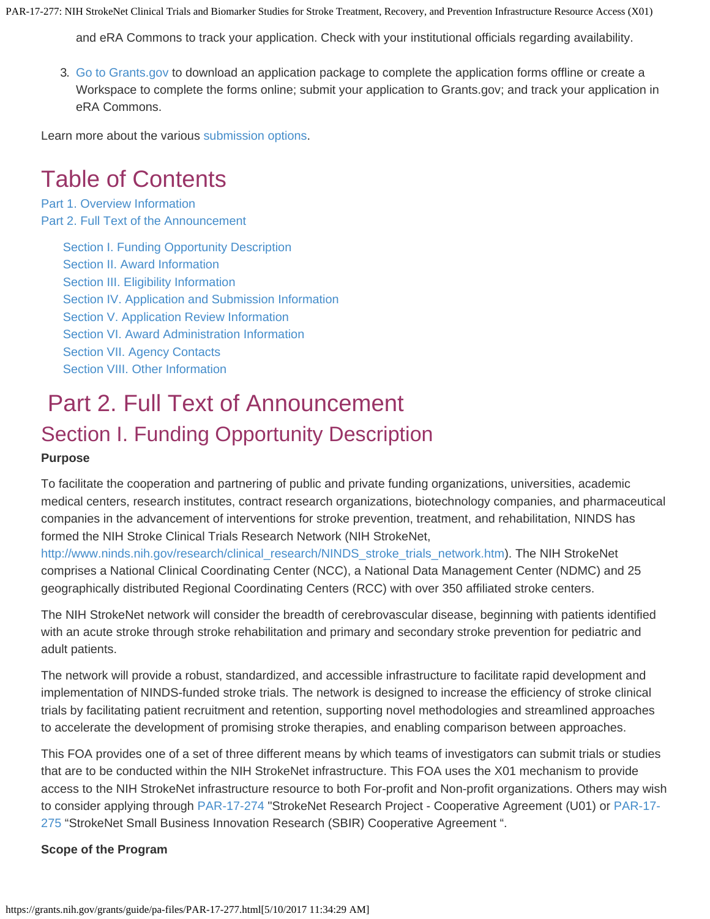and eRA Commons to track your application. Check with your institutional officials regarding availability.

3. [Go to Grants.gov](#page-0-0) to download an application package to complete the application forms offline or create a Workspace to complete the forms online; submit your application to Grants.gov; and track your application in eRA Commons.

Learn more about the various [submission options](http://grants.nih.gov/grants/ElectronicReceipt/preparing.htm#2).

# Table of Contents

[Part 1. Overview Information](#page-0-1) [Part 2. Full Text of the Announcement](#page-3-0)

> [Section](#page-3-1) [I. Funding Opportunity Description](#page-3-1) [Section II. Award Information](#page-7-0) [Section III. Eligibility Information](#page-8-0) [Section IV. Application and Submission](#page-10-1) [Information](#page-10-1) [Section V. Application Review Information](#page-15-0) [Section VI. Award Administration Information](#page-19-0) [Section VII. Agency Contacts](#page-21-0) [Section VIII. Other Information](#page-22-0)

# <span id="page-3-0"></span>Part 2. Full Text of Announcement Section I. Funding Opportunity Description

#### <span id="page-3-1"></span>**Purpose**

To facilitate the cooperation and partnering of public and private funding organizations, universities, academic medical centers, research institutes, contract research organizations, biotechnology companies, and pharmaceutical companies in the advancement of interventions for stroke prevention, treatment, and rehabilitation, NINDS has formed the NIH Stroke Clinical Trials Research Network (NIH StrokeNet,

[http://www.ninds.nih.gov/research/clinical\\_research/NINDS\\_stroke\\_trials\\_network.htm](http://www.ninds.nih.gov/research/clinical_research/NINDS_stroke_trials_network.htm)). The NIH StrokeNet comprises a National Clinical Coordinating Center (NCC), a National Data Management Center (NDMC) and 25 geographically distributed Regional Coordinating Centers (RCC) with over 350 affiliated stroke centers.

The NIH StrokeNet network will consider the breadth of cerebrovascular disease, beginning with patients identified with an acute stroke through stroke rehabilitation and primary and secondary stroke prevention for pediatric and adult patients.

The network will provide a robust, standardized, and accessible infrastructure to facilitate rapid development and implementation of NINDS-funded stroke trials. The network is designed to increase the efficiency of stroke clinical trials by facilitating patient recruitment and retention, supporting novel methodologies and streamlined approaches to accelerate the development of promising stroke therapies, and enabling comparison between approaches.

This FOA provides one of a set of three different means by which teams of investigators can submit trials or studies that are to be conducted within the NIH StrokeNet infrastructure. This FOA uses the X01 mechanism to provide access to the NIH StrokeNet infrastructure resource to both For-profit and Non-profit organizations. Others may wish to consider applying through [PAR-17-274](https://grants.nih.gov/grants/guide/pa-files/PAR-17-274.html) "StrokeNet Research Project - Cooperative Agreement (U01) or [PAR-17-](https://grants.nih.gov/grants/guide/pa-files/PAR-17-275.html) [275](https://grants.nih.gov/grants/guide/pa-files/PAR-17-275.html) "StrokeNet Small Business Innovation Research (SBIR) Cooperative Agreement ".

#### **Scope of the Program**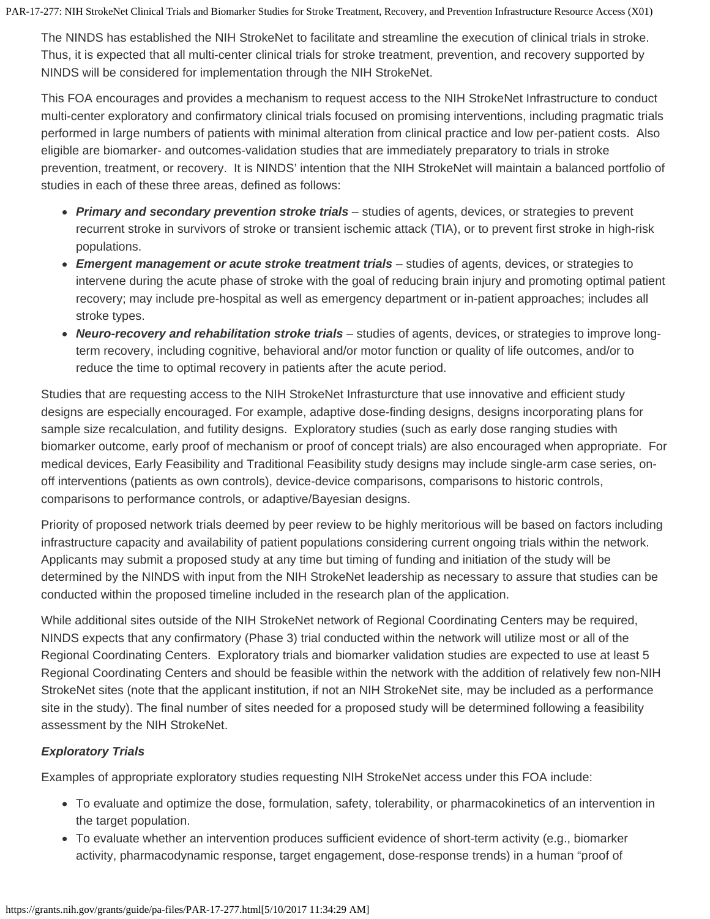The NINDS has established the NIH StrokeNet to facilitate and streamline the execution of clinical trials in stroke. Thus, it is expected that all multi-center clinical trials for stroke treatment, prevention, and recovery supported by NINDS will be considered for implementation through the NIH StrokeNet.

This FOA encourages and provides a mechanism to request access to the NIH StrokeNet Infrastructure to conduct multi-center exploratory and confirmatory clinical trials focused on promising interventions, including pragmatic trials performed in large numbers of patients with minimal alteration from clinical practice and low per-patient costs. Also eligible are biomarker- and outcomes-validation studies that are immediately preparatory to trials in stroke prevention, treatment, or recovery. It is NINDS' intention that the NIH StrokeNet will maintain a balanced portfolio of studies in each of these three areas, defined as follows:

- *Primary and secondary prevention stroke trials* studies of agents, devices, or strategies to prevent recurrent stroke in survivors of stroke or transient ischemic attack (TIA), or to prevent first stroke in high-risk populations.
- *Emergent management or acute stroke treatment trials* studies of agents, devices, or strategies to intervene during the acute phase of stroke with the goal of reducing brain injury and promoting optimal patient recovery; may include pre-hospital as well as emergency department or in-patient approaches; includes all stroke types.
- *Neuro-recovery and rehabilitation stroke trials* studies of agents, devices, or strategies to improve longterm recovery, including cognitive, behavioral and/or motor function or quality of life outcomes, and/or to reduce the time to optimal recovery in patients after the acute period.

Studies that are requesting access to the NIH StrokeNet Infrasturcture that use innovative and efficient study designs are especially encouraged. For example, adaptive dose-finding designs, designs incorporating plans for sample size recalculation, and futility designs. Exploratory studies (such as early dose ranging studies with biomarker outcome, early proof of mechanism or proof of concept trials) are also encouraged when appropriate. For medical devices, Early Feasibility and Traditional Feasibility study designs may include single-arm case series, onoff interventions (patients as own controls), device-device comparisons, comparisons to historic controls, comparisons to performance controls, or adaptive/Bayesian designs.

Priority of proposed network trials deemed by peer review to be highly meritorious will be based on factors including infrastructure capacity and availability of patient populations considering current ongoing trials within the network. Applicants may submit a proposed study at any time but timing of funding and initiation of the study will be determined by the NINDS with input from the NIH StrokeNet leadership as necessary to assure that studies can be conducted within the proposed timeline included in the research plan of the application.

While additional sites outside of the NIH StrokeNet network of Regional Coordinating Centers may be required, NINDS expects that any confirmatory (Phase 3) trial conducted within the network will utilize most or all of the Regional Coordinating Centers. Exploratory trials and biomarker validation studies are expected to use at least 5 Regional Coordinating Centers and should be feasible within the network with the addition of relatively few non-NIH StrokeNet sites (note that the applicant institution, if not an NIH StrokeNet site, may be included as a performance site in the study). The final number of sites needed for a proposed study will be determined following a feasibility assessment by the NIH StrokeNet.

#### *Exploratory Trials*

Examples of appropriate exploratory studies requesting NIH StrokeNet access under this FOA include:

- To evaluate and optimize the dose, formulation, safety, tolerability, or pharmacokinetics of an intervention in the target population.
- To evaluate whether an intervention produces sufficient evidence of short-term activity (e.g., biomarker activity, pharmacodynamic response, target engagement, dose-response trends) in a human "proof of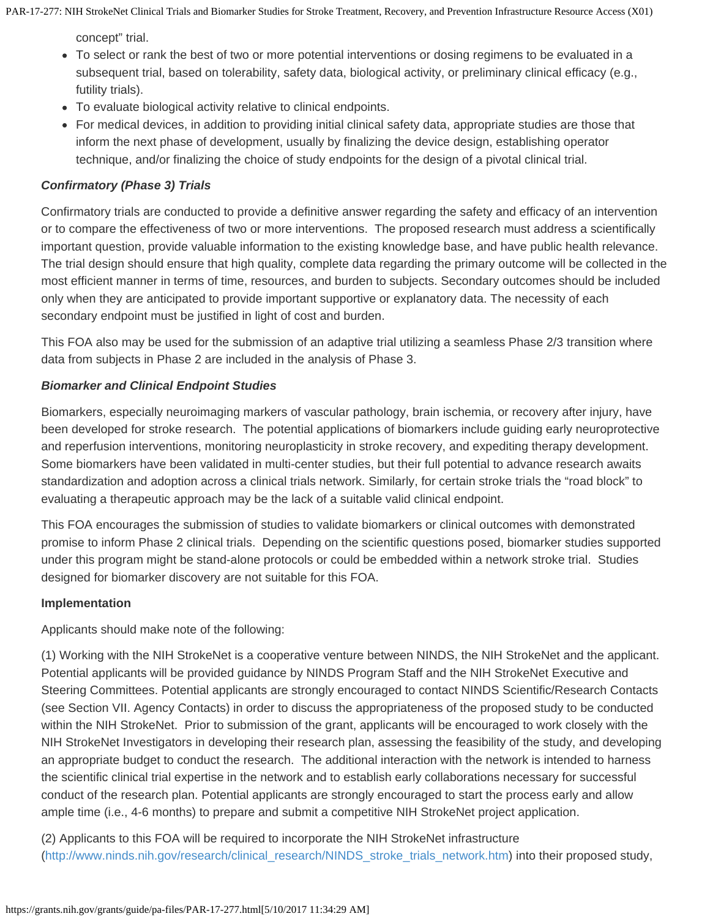concept" trial.

- To select or rank the best of two or more potential interventions or dosing regimens to be evaluated in a subsequent trial, based on tolerability, safety data, biological activity, or preliminary clinical efficacy (e.g., futility trials).
- To evaluate biological activity relative to clinical endpoints.
- For medical devices, in addition to providing initial clinical safety data, appropriate studies are those that inform the next phase of development, usually by finalizing the device design, establishing operator technique, and/or finalizing the choice of study endpoints for the design of a pivotal clinical trial.

## *Confirmatory (Phase 3) Trials*

Confirmatory trials are conducted to provide a definitive answer regarding the safety and efficacy of an intervention or to compare the effectiveness of two or more interventions. The proposed research must address a scientifically important question, provide valuable information to the existing knowledge base, and have public health relevance. The trial design should ensure that high quality, complete data regarding the primary outcome will be collected in the most efficient manner in terms of time, resources, and burden to subjects. Secondary outcomes should be included only when they are anticipated to provide important supportive or explanatory data. The necessity of each secondary endpoint must be justified in light of cost and burden.

This FOA also may be used for the submission of an adaptive trial utilizing a seamless Phase 2/3 transition where data from subjects in Phase 2 are included in the analysis of Phase 3.

### *Biomarker and Clinical Endpoint Studies*

Biomarkers, especially neuroimaging markers of vascular pathology, brain ischemia, or recovery after injury, have been developed for stroke research. The potential applications of biomarkers include guiding early neuroprotective and reperfusion interventions, monitoring neuroplasticity in stroke recovery, and expediting therapy development. Some biomarkers have been validated in multi-center studies, but their full potential to advance research awaits standardization and adoption across a clinical trials network. Similarly, for certain stroke trials the "road block" to evaluating a therapeutic approach may be the lack of a suitable valid clinical endpoint.

This FOA encourages the submission of studies to validate biomarkers or clinical outcomes with demonstrated promise to inform Phase 2 clinical trials. Depending on the scientific questions posed, biomarker studies supported under this program might be stand-alone protocols or could be embedded within a network stroke trial. Studies designed for biomarker discovery are not suitable for this FOA.

#### **Implementation**

Applicants should make note of the following:

(1) Working with the NIH StrokeNet is a cooperative venture between NINDS, the NIH StrokeNet and the applicant. Potential applicants will be provided guidance by NINDS Program Staff and the NIH StrokeNet Executive and Steering Committees. Potential applicants are strongly encouraged to contact NINDS Scientific/Research Contacts (see Section VII. Agency Contacts) in order to discuss the appropriateness of the proposed study to be conducted within the NIH StrokeNet. Prior to submission of the grant, applicants will be encouraged to work closely with the NIH StrokeNet Investigators in developing their research plan, assessing the feasibility of the study, and developing an appropriate budget to conduct the research. The additional interaction with the network is intended to harness the scientific clinical trial expertise in the network and to establish early collaborations necessary for successful conduct of the research plan. Potential applicants are strongly encouraged to start the process early and allow ample time (i.e., 4-6 months) to prepare and submit a competitive NIH StrokeNet project application.

(2) Applicants to this FOA will be required to incorporate the NIH StrokeNet infrastructure [\(http://www.ninds.nih.gov/research/clinical\\_research/NINDS\\_stroke\\_trials\\_network.htm](http://www.ninds.nih.gov/research/clinical_research/NINDS_stroke_trials_network.htm)) into their proposed study,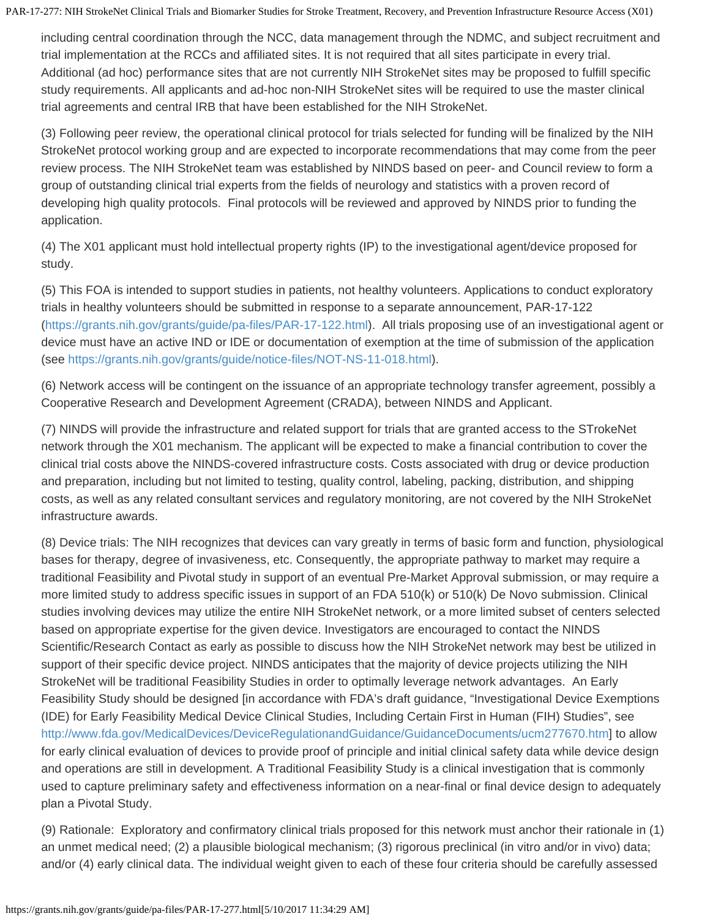including central coordination through the NCC, data management through the NDMC, and subject recruitment and trial implementation at the RCCs and affiliated sites. It is not required that all sites participate in every trial. Additional (ad hoc) performance sites that are not currently NIH StrokeNet sites may be proposed to fulfill specific study requirements. All applicants and ad-hoc non-NIH StrokeNet sites will be required to use the master clinical trial agreements and central IRB that have been established for the NIH StrokeNet.

(3) Following peer review, the operational clinical protocol for trials selected for funding will be finalized by the NIH StrokeNet protocol working group and are expected to incorporate recommendations that may come from the peer review process. The NIH StrokeNet team was established by NINDS based on peer- and Council review to form a group of outstanding clinical trial experts from the fields of neurology and statistics with a proven record of developing high quality protocols. Final protocols will be reviewed and approved by NINDS prior to funding the application.

(4) The X01 applicant must hold intellectual property rights (IP) to the investigational agent/device proposed for study.

(5) This FOA is intended to support studies in patients, not healthy volunteers. Applications to conduct exploratory trials in healthy volunteers should be submitted in response to a separate announcement, PAR-17-122 [\(https://grants.nih.gov/grants/guide/pa-files/PAR-17-122.html](https://grants.nih.gov/grants/guide/pa-files/PAR-17-122.html)). All trials proposing use of an investigational agent or device must have an active IND or IDE or documentation of exemption at the time of submission of the application (see <https://grants.nih.gov/grants/guide/notice-files/NOT-NS-11-018.html>).

(6) Network access will be contingent on the issuance of an appropriate technology transfer agreement, possibly a Cooperative Research and Development Agreement (CRADA), between NINDS and Applicant.

(7) NINDS will provide the infrastructure and related support for trials that are granted access to the STrokeNet network through the X01 mechanism. The applicant will be expected to make a financial contribution to cover the clinical trial costs above the NINDS-covered infrastructure costs. Costs associated with drug or device production and preparation, including but not limited to testing, quality control, labeling, packing, distribution, and shipping costs, as well as any related consultant services and regulatory monitoring, are not covered by the NIH StrokeNet infrastructure awards.

(8) Device trials: The NIH recognizes that devices can vary greatly in terms of basic form and function, physiological bases for therapy, degree of invasiveness, etc. Consequently, the appropriate pathway to market may require a traditional Feasibility and Pivotal study in support of an eventual Pre-Market Approval submission, or may require a more limited study to address specific issues in support of an FDA 510(k) or 510(k) De Novo submission. Clinical studies involving devices may utilize the entire NIH StrokeNet network, or a more limited subset of centers selected based on appropriate expertise for the given device. Investigators are encouraged to contact the NINDS Scientific/Research Contact as early as possible to discuss how the NIH StrokeNet network may best be utilized in support of their specific device project. NINDS anticipates that the majority of device projects utilizing the NIH StrokeNet will be traditional Feasibility Studies in order to optimally leverage network advantages. An Early Feasibility Study should be designed [in accordance with FDA's draft guidance, "Investigational Device Exemptions (IDE) for Early Feasibility Medical Device Clinical Studies, Including Certain First in Human (FIH) Studies", see <http://www.fda.gov/MedicalDevices/DeviceRegulationandGuidance/GuidanceDocuments/ucm277670.htm>] to allow for early clinical evaluation of devices to provide proof of principle and initial clinical safety data while device design and operations are still in development. A Traditional Feasibility Study is a clinical investigation that is commonly used to capture preliminary safety and effectiveness information on a near-final or final device design to adequately plan a Pivotal Study.

(9) Rationale: Exploratory and confirmatory clinical trials proposed for this network must anchor their rationale in (1) an unmet medical need; (2) a plausible biological mechanism; (3) rigorous preclinical (in vitro and/or in vivo) data; and/or (4) early clinical data. The individual weight given to each of these four criteria should be carefully assessed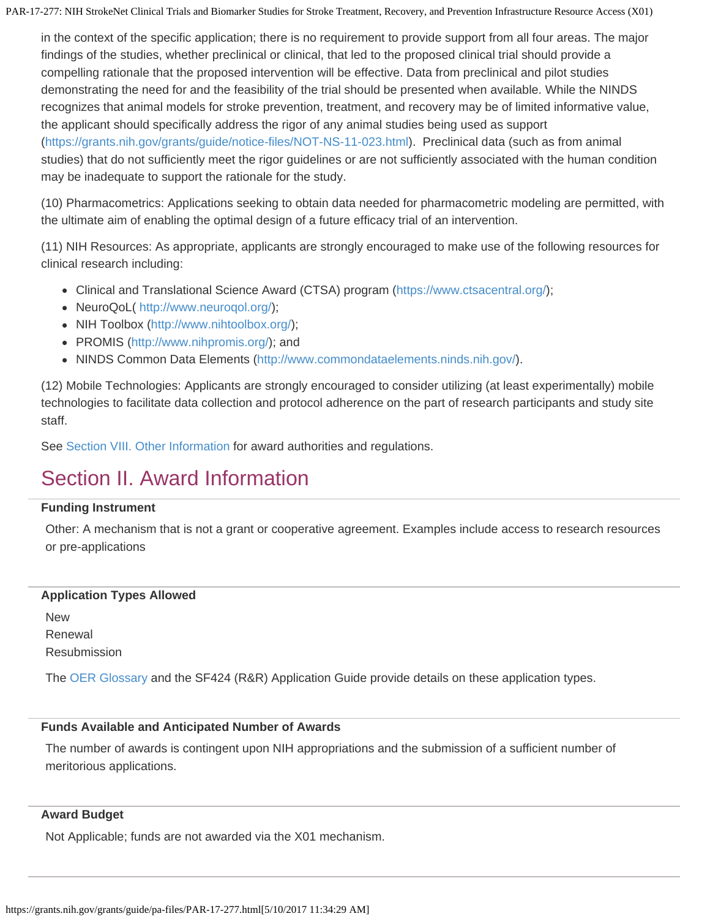in the context of the specific application; there is no requirement to provide support from all four areas. The major findings of the studies, whether preclinical or clinical, that led to the proposed clinical trial should provide a compelling rationale that the proposed intervention will be effective. Data from preclinical and pilot studies demonstrating the need for and the feasibility of the trial should be presented when available. While the NINDS recognizes that animal models for stroke prevention, treatment, and recovery may be of limited informative value, the applicant should specifically address the rigor of any animal studies being used as support (<https://grants.nih.gov/grants/guide/notice-files/NOT-NS-11-023.html>). Preclinical data (such as from animal studies) that do not sufficiently meet the rigor guidelines or are not sufficiently associated with the human condition may be inadequate to support the rationale for the study.

(10) Pharmacometrics: Applications seeking to obtain data needed for pharmacometric modeling are permitted, with the ultimate aim of enabling the optimal design of a future efficacy trial of an intervention.

(11) NIH Resources: As appropriate, applicants are strongly encouraged to make use of the following resources for clinical research including:

- Clinical and Translational Science Award (CTSA) program [\(https://www.ctsacentral.org/](https://www.ctsacentral.org/));
- NeuroQoL(<http://www.neuroqol.org/>);
- NIH Toolbox [\(http://www.nihtoolbox.org/](http://www.nihtoolbox.org/));
- PROMIS [\(http://www.nihpromis.org/](http://www.nihpromis.org/)); and
- NINDS Common Data Elements ([http://www.commondataelements.ninds.nih.gov/\)](http://www.commondataelements.ninds.nih.gov/).

(12) Mobile Technologies: Applicants are strongly encouraged to consider utilizing (at least experimentally) mobile technologies to facilitate data collection and protocol adherence on the part of research participants and study site staff.

<span id="page-7-0"></span>See [Section](#page-22-0) [VIII. Other Information](#page-22-0) for award authorities and regulations.

# Section II. Award Information

#### **Funding Instrument**

Other: A mechanism that is not a grant or cooperative agreement. Examples include access to research resources or pre-applications

#### **Application Types Allowed**

New Renewal **Resubmission** 

The [OER](https://grants.nih.gov/grants/guide/url_redirect.htm?id=11116) [Glossary](https://grants.nih.gov/grants/guide/url_redirect.htm?id=11116) and the SF424 (R&R) Application Guide provide details on these application types.

#### **Funds Available and Anticipated Number of Awards**

The number of awards is contingent upon NIH appropriations and the submission of a sufficient number of meritorious applications.

#### **Award Budget**

Not Applicable; funds are not awarded via the X01 mechanism.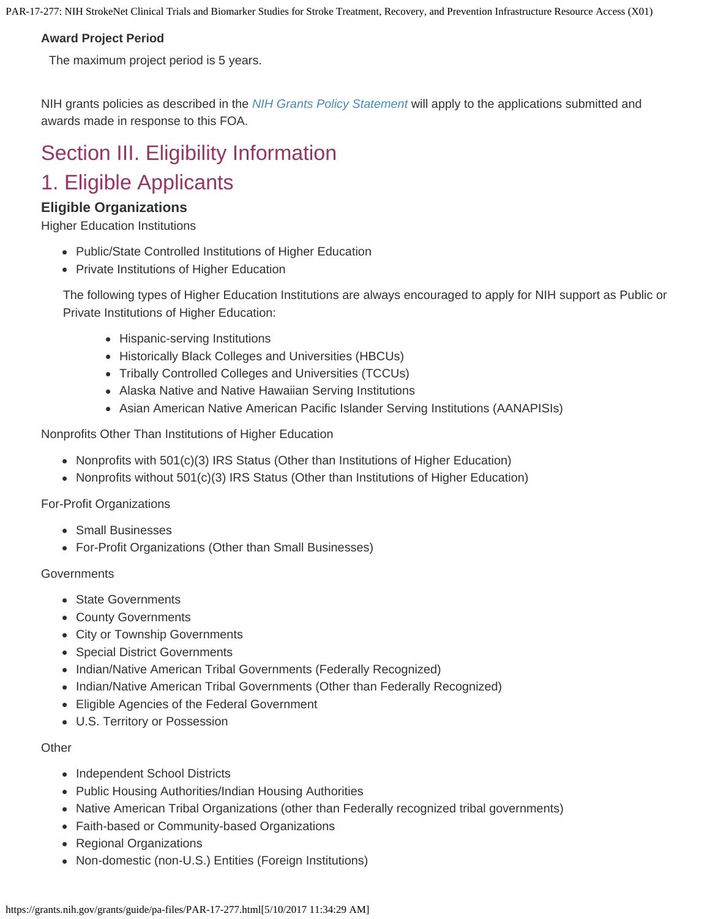#### **Award Project Period**

The maximum project period is 5 years.

NIH grants policies as described in the *[NIH](https://grants.nih.gov/grants/guide/url_redirect.htm?id=11120) [Grants Policy Statement](https://grants.nih.gov/grants/guide/url_redirect.htm?id=11120)* will apply to the applications submitted and awards made in response to this FOA.

# <span id="page-8-0"></span>Section III. Eligibility Information 1. Eligible Applicants

## **Eligible Organizations**

Higher Education Institutions

- Public/State Controlled Institutions of Higher Education
- Private Institutions of Higher Education

The following types of Higher Education Institutions are always encouraged to apply for NIH support as Public or Private Institutions of Higher Education:

- Hispanic-serving Institutions
- Historically Black Colleges and Universities (HBCUs)
- Tribally Controlled Colleges and Universities (TCCUs)
- Alaska Native and Native Hawaiian Serving Institutions
- Asian American Native American Pacific Islander Serving Institutions (AANAPISIs)

Nonprofits Other Than Institutions of Higher Education

- Nonprofits with  $501(c)(3)$  IRS Status (Other than Institutions of Higher Education)
- Nonprofits without 501(c)(3) IRS Status (Other than Institutions of Higher Education)

For-Profit Organizations

- Small Businesses
- For-Profit Organizations (Other than Small Businesses)

Governments

- State Governments
- County Governments
- City or Township Governments
- Special District Governments
- Indian/Native American Tribal Governments (Federally Recognized)
- Indian/Native American Tribal Governments (Other than Federally Recognized)
- Eligible Agencies of the Federal Government
- U.S. Territory or Possession

#### **Other**

- Independent School Districts
- Public Housing Authorities/Indian Housing Authorities
- Native American Tribal Organizations (other than Federally recognized tribal governments)
- Faith-based or Community-based Organizations
- Regional Organizations
- Non-domestic (non-U.S.) Entities (Foreign Institutions)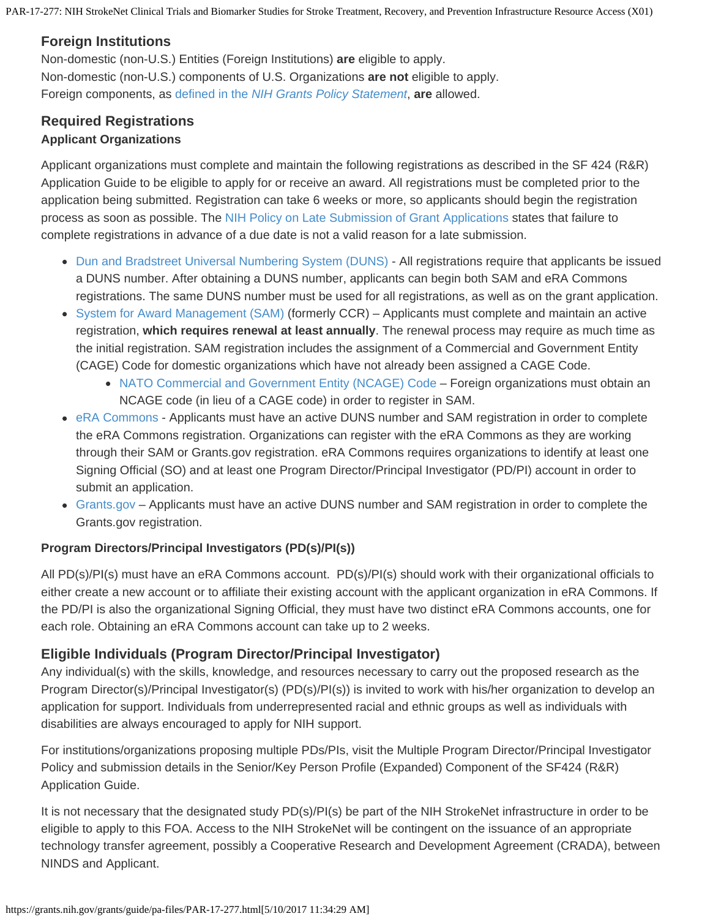## **Foreign Institutions**

Non-domestic (non-U.S.) Entities (Foreign Institutions) **are** eligible to apply. Non-domestic (non-U.S.) components of U.S. Organizations **are not** eligible to apply. Foreign components, as [defined in](https://grants.nih.gov/grants/guide/url_redirect.htm?id=11118) [the](https://grants.nih.gov/grants/guide/url_redirect.htm?id=11118) *[NIH Grants Policy Statement](https://grants.nih.gov/grants/guide/url_redirect.htm?id=11118)*, **are** allowed.

## <span id="page-9-0"></span>**Required Registrations Applicant Organizations**

Applicant organizations must complete and maintain the following registrations as described in the SF 424 (R&R) Application Guide to be eligible to apply for or receive an award. All registrations must be completed prior to the application being submitted. Registration can take 6 weeks or more, so applicants should begin the registration process as soon as possible. The [NIH](https://grants.nih.gov/grants/guide/notice-files/NOT-OD-15-039.html) [Policy on Late Submission of Grant Applications](https://grants.nih.gov/grants/guide/notice-files/NOT-OD-15-039.html) states that failure to complete registrations in advance of a due date is not a valid reason for a late submission.

- [Dun and Bradstreet](http://fedgov.dnb.com/webform) [Universal Numbering System \(DUNS\)](http://fedgov.dnb.com/webform) All registrations require that applicants be issued a DUNS number. After obtaining a DUNS number, applicants can begin both SAM and eRA Commons registrations. The same DUNS number must be used for all registrations, as well as on the grant application.
- [System for Award Management \(SAM\)](https://www.sam.gov/portal/public/SAM/) (formerly CCR) Applicants must complete and maintain an active registration, **which requires renewal at least annually**. The renewal process may require as much time as the initial registration. SAM registration includes the assignment of a Commercial and Government Entity (CAGE) Code for domestic organizations which have not already been assigned a CAGE Code.
	- [NATO](https://grants.nih.gov/grants/guide/url_redirect.htm?id=11176) [Commercial and Government Entity \(NCAGE\) Code](https://grants.nih.gov/grants/guide/url_redirect.htm?id=11176)  Foreign organizations must obtain an NCAGE code (in lieu of a CAGE code) in order to register in SAM.
- [eRA Commons](https://grants.nih.gov/grants/guide/url_redirect.htm?id=11123)  Applicants must have an active DUNS number and SAM registration in order to complete the eRA Commons registration. Organizations can register with the eRA Commons as they are working through their SAM or Grants.gov registration. eRA Commons requires organizations to identify at least one Signing Official (SO) and at least one Program Director/Principal Investigator (PD/PI) account in order to submit an application.
- [Grants.gov](https://grants.nih.gov/grants/guide/url_redirect.htm?id=82300)  Applicants must have an active DUNS number and SAM registration in order to complete the Grants.gov registration.

## **Program Directors/Principal Investigators (PD(s)/PI(s))**

All PD(s)/PI(s) must have an eRA Commons account. PD(s)/PI(s) should work with their organizational officials to either create a new account or to affiliate their existing account with the applicant organization in eRA Commons. If the PD/PI is also the organizational Signing Official, they must have two distinct eRA Commons accounts, one for each role. Obtaining an eRA Commons account can take up to 2 weeks.

## **Eligible Individuals (Program Director/Principal Investigator)**

Any individual(s) with the skills, knowledge, and resources necessary to carry out the proposed research as the Program Director(s)/Principal Investigator(s) (PD(s)/PI(s)) is invited to work with his/her organization to develop an application for support. Individuals from underrepresented racial and ethnic groups as well as individuals with disabilities are always encouraged to apply for NIH support.

For institutions/organizations proposing multiple PDs/PIs, visit the Multiple Program Director/Principal Investigator Policy and submission details in the Senior/Key Person Profile (Expanded) Component of the SF424 (R&R) Application Guide.

It is not necessary that the designated study PD(s)/PI(s) be part of the NIH StrokeNet infrastructure in order to be eligible to apply to this FOA. Access to the NIH StrokeNet will be contingent on the issuance of an appropriate technology transfer agreement, possibly a Cooperative Research and Development Agreement (CRADA), between NINDS and Applicant.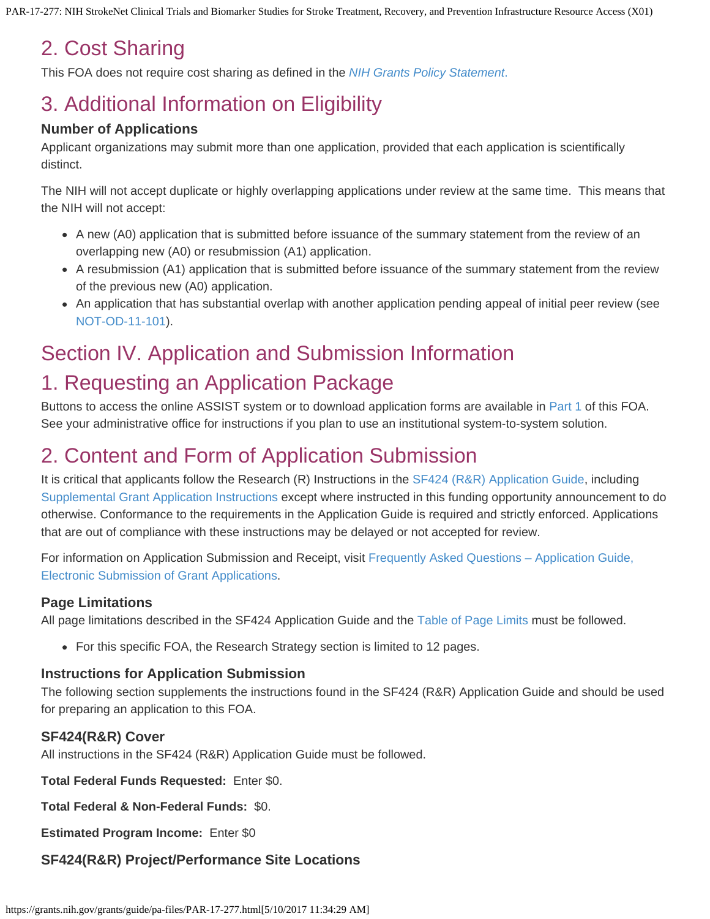# 2. Cost Sharing

This FOA does not require cost sharing as defined in the *[NIH](https://grants.nih.gov/grants/guide/url_redirect.htm?id=11126) [Grants Policy Statement](https://grants.nih.gov/grants/guide/url_redirect.htm?id=11126)*[.](https://grants.nih.gov/grants/guide/url_redirect.htm?id=11126)

# <span id="page-10-0"></span>3. Additional Information on Eligibility

## **Number of Applications**

Applicant organizations may submit more than one application, provided that each application is scientifically distinct.

The NIH will not accept duplicate or highly overlapping applications under review at the same time. This means that the NIH will not accept:

- A new (A0) application that is submitted before issuance of the summary statement from the review of an overlapping new (A0) or resubmission (A1) application.
- A resubmission (A1) application that is submitted before issuance of the summary statement from the review of the previous new (A0) application.
- An application that has substantial overlap with another application pending appeal of initial peer review (see [NOT-OD-11-101](https://grants.nih.gov/grants/guide/notice-files/NOT-OD-11-101.html)).

# <span id="page-10-1"></span>Section IV. Application and Submission Information

# 1. Requesting an Application Package

Buttons to access the online ASSIST system or to download application forms are available in [Part](#page-2-0) [1](#page-2-0) of this FOA. See your administrative office for instructions if you plan to use an institutional system-to-system solution.

# 2. Content and Form of Application Submission

It is critical that applicants follow the Research (R) Instructions in the [SF424](https://grants.nih.gov/grants/guide/url_redirect.htm?id=12000) [\(R&R\) Application Guide](https://grants.nih.gov/grants/guide/url_redirect.htm?id=12000), including [Supplemental](https://grants.nih.gov/grants/funding/424/SupplementalInstructions.pdf) [Grant Application Instructions](https://grants.nih.gov/grants/funding/424/SupplementalInstructions.pdf) except where instructed in this funding opportunity announcement to do otherwise. Conformance to the requirements in the Application Guide is required and strictly enforced. Applications that are out of compliance with these instructions may be delayed or not accepted for review.

For information on Application Submission and Receipt, visit [Frequently](https://grants.nih.gov/grants/guide/url_redirect.htm?id=41137) [Asked Questions – Application Guide,](https://grants.nih.gov/grants/guide/url_redirect.htm?id=41137) [Electronic Submission of Grant](https://grants.nih.gov/grants/guide/url_redirect.htm?id=41137) [Applications](https://grants.nih.gov/grants/guide/url_redirect.htm?id=41137).

## **Page Limitations**

All page limitations described in the SF424 Application Guide and the [Table of](https://grants.nih.gov/grants/guide/url_redirect.htm?id=11133) [Page Limits](https://grants.nih.gov/grants/guide/url_redirect.htm?id=11133) must be followed.

For this specific FOA, the Research Strategy section is limited to 12 pages.

#### **Instructions for Application Submission**

The following section supplements the instructions found in the SF424 (R&R) Application Guide and should be used for preparing an application to this FOA.

## **SF424(R&R) Cover**

All instructions in the SF424 (R&R) Application Guide must be followed.

**Total Federal Funds Requested:** Enter \$0.

**Total Federal & Non-Federal Funds:** \$0.

**Estimated Program Income:** Enter \$0

## **SF424(R&R) Project/Performance Site Locations**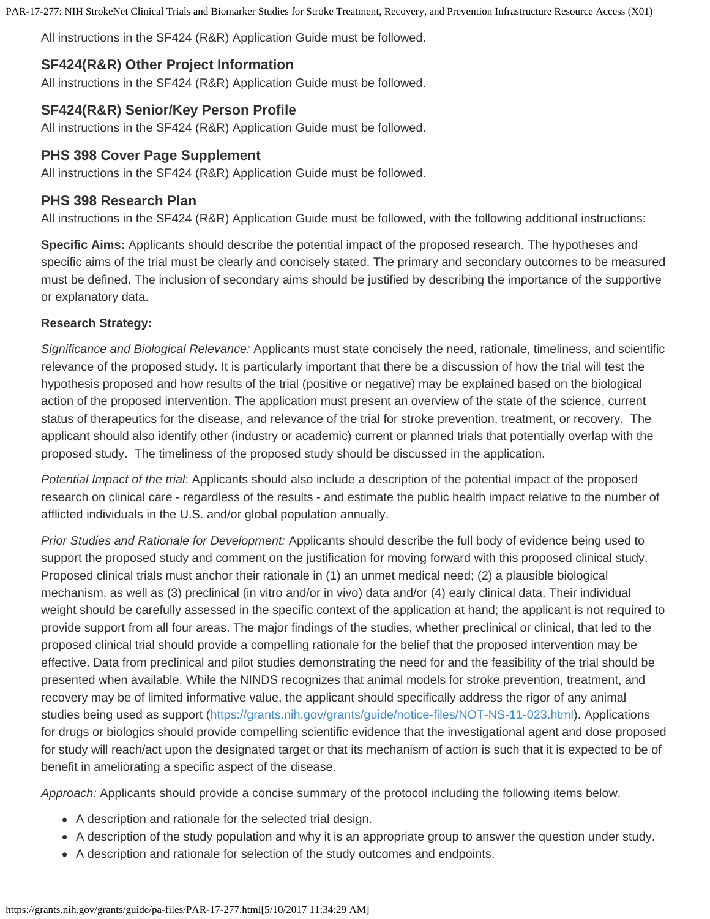All instructions in the SF424 (R&R) Application Guide must be followed.

## **SF424(R&R) Other Project Information**

All instructions in the SF424 (R&R) Application Guide must be followed.

## **SF424(R&R) Senior/Key Person Profile**

All instructions in the SF424 (R&R) Application Guide must be followed.

## **PHS 398 Cover Page Supplement**

All instructions in the SF424 (R&R) Application Guide must be followed.

## **PHS 398 Research Plan**

All instructions in the SF424 (R&R) Application Guide must be followed, with the following additional instructions:

**Specific Aims:** Applicants should describe the potential impact of the proposed research. The hypotheses and specific aims of the trial must be clearly and concisely stated. The primary and secondary outcomes to be measured must be defined. The inclusion of secondary aims should be justified by describing the importance of the supportive or explanatory data.

#### **Research Strategy:**

*Significance and Biological Relevance:* Applicants must state concisely the need, rationale, timeliness, and scientific relevance of the proposed study. It is particularly important that there be a discussion of how the trial will test the hypothesis proposed and how results of the trial (positive or negative) may be explained based on the biological action of the proposed intervention. The application must present an overview of the state of the science, current status of therapeutics for the disease, and relevance of the trial for stroke prevention, treatment, or recovery. The applicant should also identify other (industry or academic) current or planned trials that potentially overlap with the proposed study. The timeliness of the proposed study should be discussed in the application.

*Potential Impact of the trial*: Applicants should also include a description of the potential impact of the proposed research on clinical care - regardless of the results - and estimate the public health impact relative to the number of afflicted individuals in the U.S. and/or global population annually.

*Prior Studies and Rationale for Development:* Applicants should describe the full body of evidence being used to support the proposed study and comment on the justification for moving forward with this proposed clinical study. Proposed clinical trials must anchor their rationale in (1) an unmet medical need; (2) a plausible biological mechanism, as well as (3) preclinical (in vitro and/or in vivo) data and/or (4) early clinical data. Their individual weight should be carefully assessed in the specific context of the application at hand; the applicant is not required to provide support from all four areas. The major findings of the studies, whether preclinical or clinical, that led to the proposed clinical trial should provide a compelling rationale for the belief that the proposed intervention may be effective. Data from preclinical and pilot studies demonstrating the need for and the feasibility of the trial should be presented when available. While the NINDS recognizes that animal models for stroke prevention, treatment, and recovery may be of limited informative value, the applicant should specifically address the rigor of any animal studies being used as support [\(https://grants.nih.gov/grants/guide/notice-files/NOT-NS-11-023.html](https://grants.nih.gov/grants/guide/notice-files/NOT-NS-11-023.html)). Applications for drugs or biologics should provide compelling scientific evidence that the investigational agent and dose proposed for study will reach/act upon the designated target or that its mechanism of action is such that it is expected to be of benefit in ameliorating a specific aspect of the disease.

*Approach:* Applicants should provide a concise summary of the protocol including the following items below.

- A description and rationale for the selected trial design.
- A description of the study population and why it is an appropriate group to answer the question under study.
- A description and rationale for selection of the study outcomes and endpoints.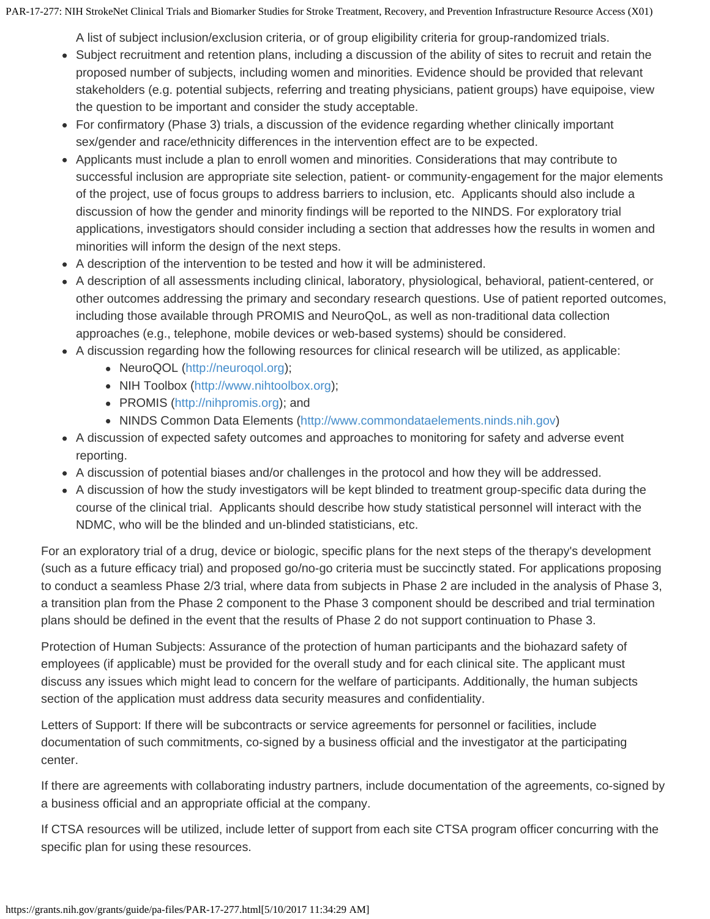A list of subject inclusion/exclusion criteria, or of group eligibility criteria for group-randomized trials.

- Subject recruitment and retention plans, including a discussion of the ability of sites to recruit and retain the proposed number of subjects, including women and minorities. Evidence should be provided that relevant stakeholders (e.g. potential subjects, referring and treating physicians, patient groups) have equipoise, view the question to be important and consider the study acceptable.
- For confirmatory (Phase 3) trials, a discussion of the evidence regarding whether clinically important sex/gender and race/ethnicity differences in the intervention effect are to be expected.
- Applicants must include a plan to enroll women and minorities. Considerations that may contribute to successful inclusion are appropriate site selection, patient- or community-engagement for the major elements of the project, use of focus groups to address barriers to inclusion, etc. Applicants should also include a discussion of how the gender and minority findings will be reported to the NINDS. For exploratory trial applications, investigators should consider including a section that addresses how the results in women and minorities will inform the design of the next steps.
- A description of the intervention to be tested and how it will be administered.
- A description of all assessments including clinical, laboratory, physiological, behavioral, patient-centered, or other outcomes addressing the primary and secondary research questions. Use of patient reported outcomes, including those available through PROMIS and NeuroQoL, as well as non-traditional data collection approaches (e.g., telephone, mobile devices or web-based systems) should be considered.
- A discussion regarding how the following resources for clinical research will be utilized, as applicable:
	- NeuroQOL [\(http://neuroqol.org](http://neuroqol.org/));
	- NIH Toolbox ([http://www.nihtoolbox.org\)](http://www.nihtoolbox.org/);
	- PROMIS [\(http://nihpromis.org](http://nihpromis.org/)); and
	- NINDS Common Data Elements [\(http://www.commondataelements.ninds.nih.gov](http://www.commondataelements.ninds.nih.gov/))
- A discussion of expected safety outcomes and approaches to monitoring for safety and adverse event reporting.
- A discussion of potential biases and/or challenges in the protocol and how they will be addressed.
- A discussion of how the study investigators will be kept blinded to treatment group-specific data during the course of the clinical trial. Applicants should describe how study statistical personnel will interact with the NDMC, who will be the blinded and un-blinded statisticians, etc.

For an exploratory trial of a drug, device or biologic, specific plans for the next steps of the therapy's development (such as a future efficacy trial) and proposed go/no-go criteria must be succinctly stated. For applications proposing to conduct a seamless Phase 2/3 trial, where data from subjects in Phase 2 are included in the analysis of Phase 3, a transition plan from the Phase 2 component to the Phase 3 component should be described and trial termination plans should be defined in the event that the results of Phase 2 do not support continuation to Phase 3.

Protection of Human Subjects: Assurance of the protection of human participants and the biohazard safety of employees (if applicable) must be provided for the overall study and for each clinical site. The applicant must discuss any issues which might lead to concern for the welfare of participants. Additionally, the human subjects section of the application must address data security measures and confidentiality.

Letters of Support: If there will be subcontracts or service agreements for personnel or facilities, include documentation of such commitments, co-signed by a business official and the investigator at the participating center.

If there are agreements with collaborating industry partners, include documentation of the agreements, co-signed by a business official and an appropriate official at the company.

If CTSA resources will be utilized, include letter of support from each site CTSA program officer concurring with the specific plan for using these resources.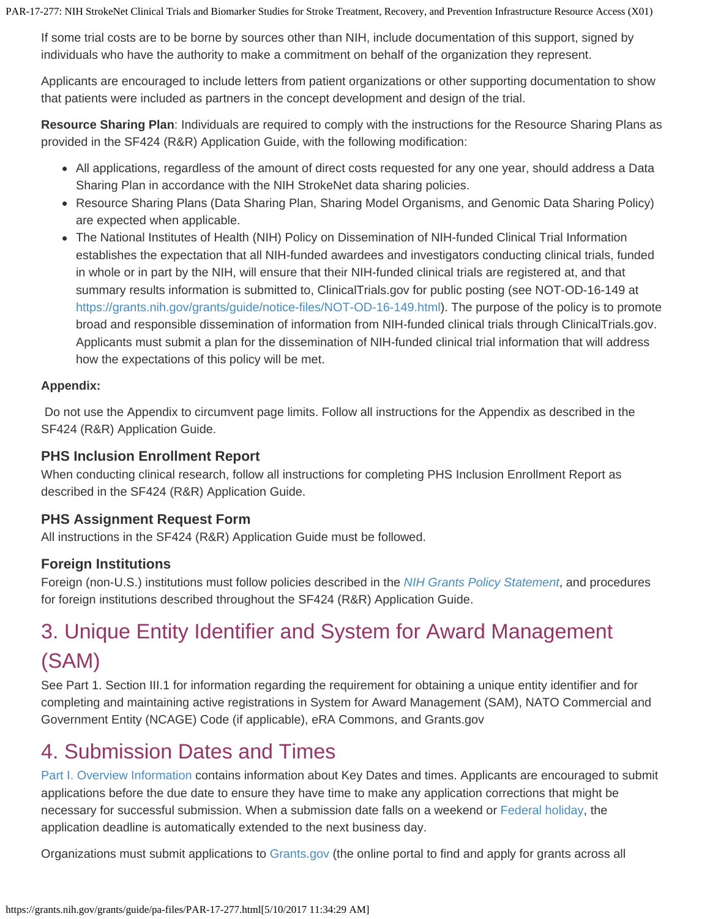If some trial costs are to be borne by sources other than NIH, include documentation of this support, signed by individuals who have the authority to make a commitment on behalf of the organization they represent.

Applicants are encouraged to include letters from patient organizations or other supporting documentation to show that patients were included as partners in the concept development and design of the trial.

**Resource Sharing Plan**: Individuals are required to comply with the instructions for the Resource Sharing Plans as provided in the SF424 (R&R) Application Guide, with the following modification:

- All applications, regardless of the amount of direct costs requested for any one year, should address a Data Sharing Plan in accordance with the NIH StrokeNet data sharing policies.
- Resource Sharing Plans (Data Sharing Plan, Sharing Model Organisms, and Genomic Data Sharing Policy) are expected when applicable.
- The National Institutes of Health (NIH) Policy on Dissemination of NIH-funded Clinical Trial Information establishes the expectation that all NIH-funded awardees and investigators conducting clinical trials, funded in whole or in part by the NIH, will ensure that their NIH-funded clinical trials are registered at, and that summary results information is submitted to, ClinicalTrials.gov for public posting (see NOT-OD-16-149 at <https://grants.nih.gov/grants/guide/notice-files/NOT-OD-16-149.html>). The purpose of the policy is to promote broad and responsible dissemination of information from NIH-funded clinical trials through ClinicalTrials.gov. Applicants must submit a plan for the dissemination of NIH-funded clinical trial information that will address how the expectations of this policy will be met.

### **Appendix:**

Do not use the Appendix to circumvent page limits. Follow all instructions for the Appendix as described in the SF424 (R&R) Application Guide.

## **PHS Inclusion Enrollment Report**

When conducting clinical research, follow all instructions for completing PHS Inclusion Enrollment Report as described in the SF424 (R&R) Application Guide.

# **PHS Assignment Request Form**

All instructions in the SF424 (R&R) Application Guide must be followed.

# **Foreign Institutions**

Foreign (non-U.S.) institutions must follow policies described in the *[NIH](https://grants.nih.gov/grants/guide/url_redirect.htm?id=11137) [Grants Policy Statement](https://grants.nih.gov/grants/guide/url_redirect.htm?id=11137)*, and procedures for foreign institutions described throughout the SF424 (R&R) Application Guide.

# 3. Unique Entity Identifier and System for Award Management (SAM)

See Part 1. Section III.1 for information regarding the requirement for obtaining a unique entity identifier and for completing and maintaining active registrations in System for Award Management (SAM), NATO Commercial and Government Entity (NCAGE) Code (if applicable), eRA Commons, and Grants.gov

# 4. Submission Dates and Times

[Part I. Overview Information](#page-0-1) contains information about Key Dates and times. Applicants are encouraged to submit applications before the due date to ensure they have time to make any application corrections that might be necessary for successful submission. When a submission date falls on a weekend or [Federal](http://www.opm.gov/Operating_Status_Schedules/fedhol/2010.asp) [holiday](http://www.opm.gov/Operating_Status_Schedules/fedhol/2010.asp), the application deadline is automatically extended to the next business day.

Organizations must submit applications to [Grants.gov](https://grants.nih.gov/grants/guide/url_redirect.htm?id=11128) (the online portal to find and apply for grants across all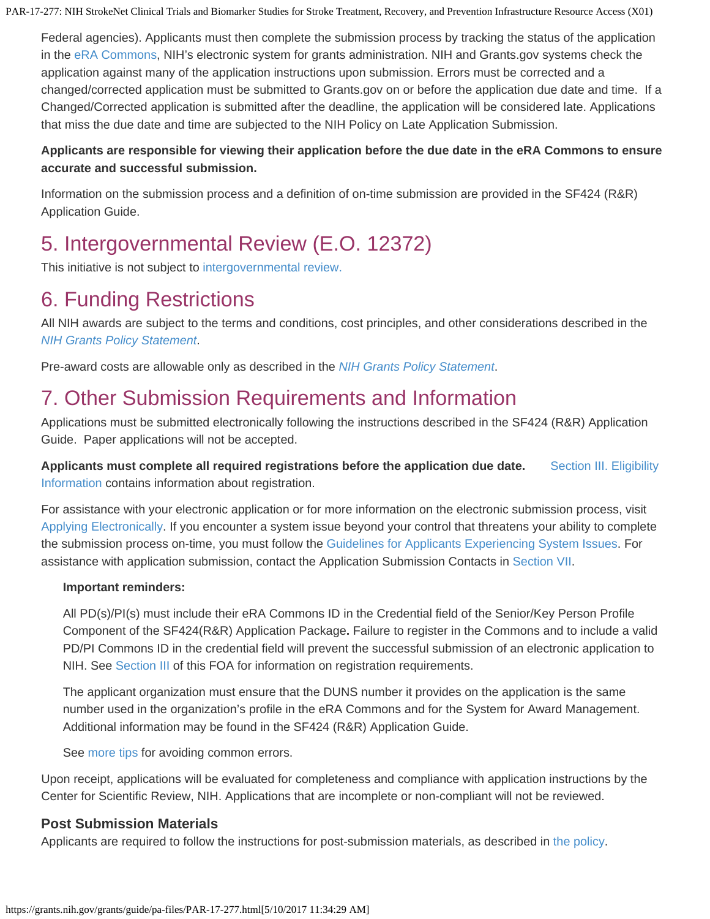Federal agencies). Applicants must then complete the submission process by tracking the status of the application in the [eRA Commons](https://grants.nih.gov/grants/guide/url_redirect.htm?id=11123), NIH's electronic system for grants administration. NIH and Grants.gov systems check the application against many of the application instructions upon submission. Errors must be corrected and a changed/corrected application must be submitted to Grants.gov on or before the application due date and time. If a Changed/Corrected application is submitted after the deadline, the application will be considered late. Applications that miss the due date and time are subjected to the NIH Policy on Late Application Submission.

#### **Applicants are responsible for viewing their application before the due date in the eRA Commons to ensure accurate and successful submission.**

Information on the submission process and a definition of on-time submission are provided in the SF424 (R&R) Application Guide.

# 5. Intergovernmental Review (E.O. 12372)

This initiative is not subject to [intergovernmental](https://grants.nih.gov/grants/guide/url_redirect.htm?id=11142) [review.](https://grants.nih.gov/grants/guide/url_redirect.htm?id=11142)

# <span id="page-14-0"></span>6. Funding Restrictions

All NIH awards are subject to the terms and conditions, cost principles, and other considerations described in the *[NIH](https://grants.nih.gov/grants/guide/url_redirect.htm?id=11120) [Grants Policy Statement](https://grants.nih.gov/grants/guide/url_redirect.htm?id=11120)*.

Pre-award costs are allowable only as described in the *[NIH](https://grants.nih.gov/grants/guide/url_redirect.htm?id=11143) [Grants Policy Statement](https://grants.nih.gov/grants/guide/url_redirect.htm?id=11143)*.

# 7. Other Submission Requirements and Information

Applications must be submitted electronically following the instructions described in the SF424 (R&R) Application Guide. Paper applications will not be accepted.

**Applicants must complete all required registrations before the application due date.** [Section](#page-8-0) [III. Eligibility](#page-8-0) [Information](#page-8-0) contains information about registration.

For assistance with your electronic application or for more information on the electronic submission process, visit [Applying](https://grants.nih.gov/grants/guide/url_redirect.htm?id=11144) [Electronically](https://grants.nih.gov/grants/guide/url_redirect.htm?id=11144). If you encounter a system issue beyond your control that threatens your ability to complete the submission process on-time, you must follow the [Guidelines](https://grants.nih.gov/grants/ElectronicReceipt/support.htm#guidelines) [for Applicants Experiencing System Issues](https://grants.nih.gov/grants/ElectronicReceipt/support.htm#guidelines). For assistance with application submission, contact the Application Submission Contacts in [Section VII](#page-21-0).

#### **Important reminders:**

All PD(s)/PI(s) must include their eRA Commons ID in the Credential field of the Senior/Key Person Profile Component of the SF424(R&R) Application Package**.** Failure to register in the Commons and to include a valid PD/PI Commons ID in the credential field will prevent the successful submission of an electronic application to NIH. See [Section III](#page-9-0) of this FOA for information on registration requirements.

The applicant organization must ensure that the DUNS number it provides on the application is the same number used in the organization's profile in the eRA Commons and for the System for Award Management. Additional information may be found in the SF424 (R&R) Application Guide.

See [more tips](https://grants.nih.gov/grants/guide/url_redirect.htm?id=11146) for avoiding common errors.

Upon receipt, applications will be evaluated for completeness and compliance with application instructions by the Center for Scientific Review, NIH. Applications that are incomplete or non-compliant will not be reviewed.

# **Post Submission Materials**

Applicants are required to follow the instructions for post-submission materials, as described in [the policy](https://grants.nih.gov/grants/guide/url_redirect.htm?id=82299).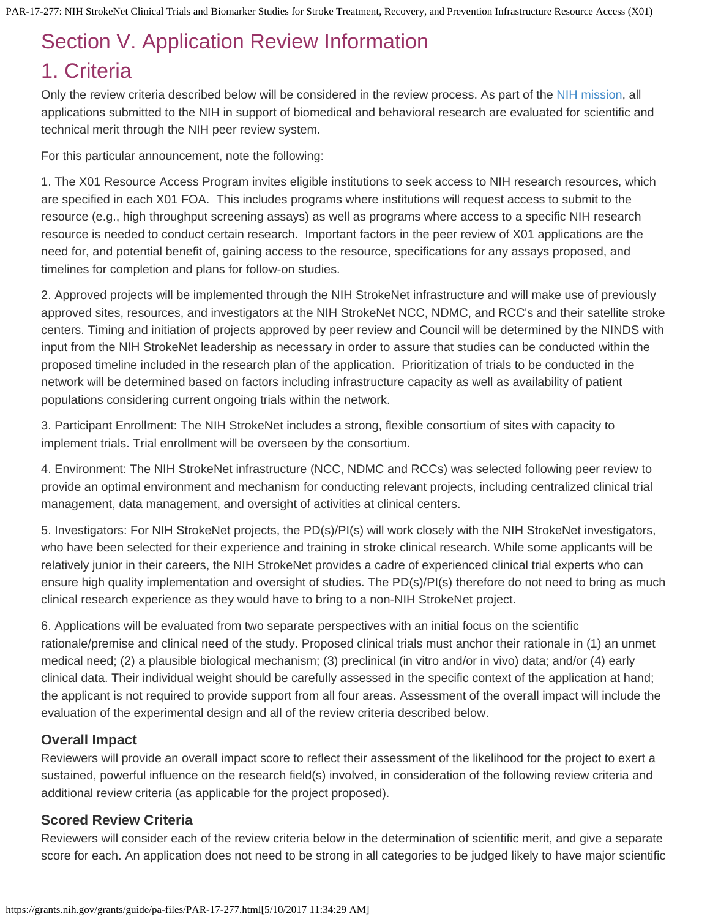# <span id="page-15-0"></span>Section V. Application Review Information

# <span id="page-15-1"></span>1. Criteria

Only the review criteria described below will be considered in the review process. As part of the [NIH mission](https://grants.nih.gov/grants/guide/url_redirect.htm?id=11149), all applications submitted to the NIH in support of biomedical and behavioral research are evaluated for scientific and technical merit through the NIH peer review system.

For this particular announcement, note the following:

1. The X01 Resource Access Program invites eligible institutions to seek access to NIH research resources, which are specified in each X01 FOA. This includes programs where institutions will request access to submit to the resource (e.g., high throughput screening assays) as well as programs where access to a specific NIH research resource is needed to conduct certain research. Important factors in the peer review of X01 applications are the need for, and potential benefit of, gaining access to the resource, specifications for any assays proposed, and timelines for completion and plans for follow-on studies.

2. Approved projects will be implemented through the NIH StrokeNet infrastructure and will make use of previously approved sites, resources, and investigators at the NIH StrokeNet NCC, NDMC, and RCC's and their satellite stroke centers. Timing and initiation of projects approved by peer review and Council will be determined by the NINDS with input from the NIH StrokeNet leadership as necessary in order to assure that studies can be conducted within the proposed timeline included in the research plan of the application. Prioritization of trials to be conducted in the network will be determined based on factors including infrastructure capacity as well as availability of patient populations considering current ongoing trials within the network.

3. Participant Enrollment: The NIH StrokeNet includes a strong, flexible consortium of sites with capacity to implement trials. Trial enrollment will be overseen by the consortium.

4. Environment: The NIH StrokeNet infrastructure (NCC, NDMC and RCCs) was selected following peer review to provide an optimal environment and mechanism for conducting relevant projects, including centralized clinical trial management, data management, and oversight of activities at clinical centers.

5. Investigators: For NIH StrokeNet projects, the PD(s)/PI(s) will work closely with the NIH StrokeNet investigators, who have been selected for their experience and training in stroke clinical research. While some applicants will be relatively junior in their careers, the NIH StrokeNet provides a cadre of experienced clinical trial experts who can ensure high quality implementation and oversight of studies. The PD(s)/PI(s) therefore do not need to bring as much clinical research experience as they would have to bring to a non-NIH StrokeNet project.

6. Applications will be evaluated from two separate perspectives with an initial focus on the scientific rationale/premise and clinical need of the study. Proposed clinical trials must anchor their rationale in (1) an unmet medical need; (2) a plausible biological mechanism; (3) preclinical (in vitro and/or in vivo) data; and/or (4) early clinical data. Their individual weight should be carefully assessed in the specific context of the application at hand; the applicant is not required to provide support from all four areas. Assessment of the overall impact will include the evaluation of the experimental design and all of the review criteria described below.

# **Overall Impact**

Reviewers will provide an overall impact score to reflect their assessment of the likelihood for the project to exert a sustained, powerful influence on the research field(s) involved, in consideration of the following review criteria and additional review criteria (as applicable for the project proposed).

## **Scored Review Criteria**

Reviewers will consider each of the review criteria below in the determination of scientific merit, and give a separate score for each. An application does not need to be strong in all categories to be judged likely to have major scientific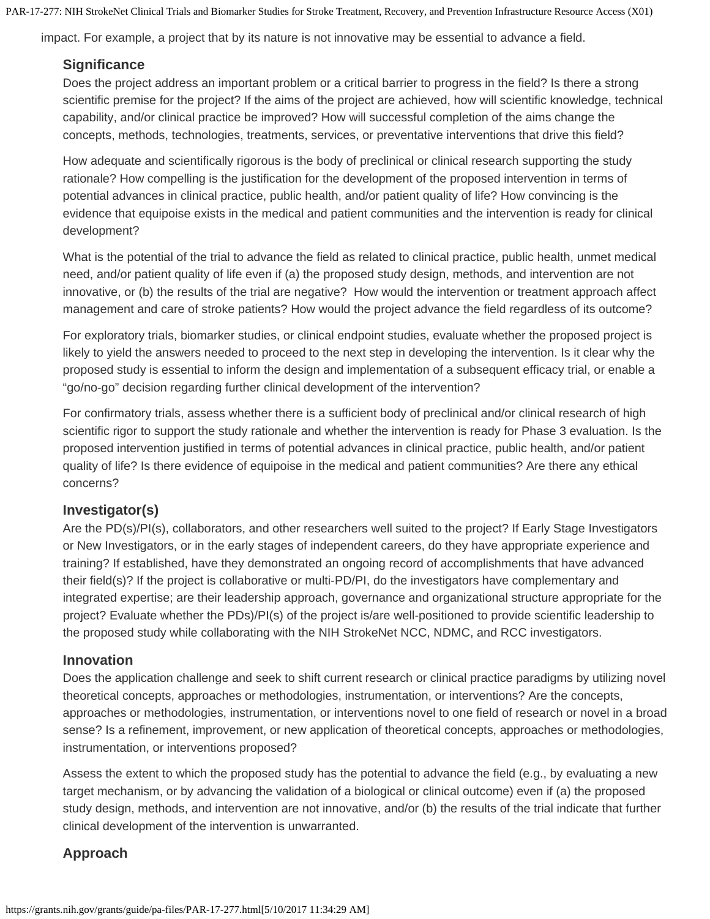impact. For example, a project that by its nature is not innovative may be essential to advance a field.

#### **Significance**

Does the project address an important problem or a critical barrier to progress in the field? Is there a strong scientific premise for the project? If the aims of the project are achieved, how will scientific knowledge, technical capability, and/or clinical practice be improved? How will successful completion of the aims change the concepts, methods, technologies, treatments, services, or preventative interventions that drive this field?

How adequate and scientifically rigorous is the body of preclinical or clinical research supporting the study rationale? How compelling is the justification for the development of the proposed intervention in terms of potential advances in clinical practice, public health, and/or patient quality of life? How convincing is the evidence that equipoise exists in the medical and patient communities and the intervention is ready for clinical development?

What is the potential of the trial to advance the field as related to clinical practice, public health, unmet medical need, and/or patient quality of life even if (a) the proposed study design, methods, and intervention are not innovative, or (b) the results of the trial are negative? How would the intervention or treatment approach affect management and care of stroke patients? How would the project advance the field regardless of its outcome?

For exploratory trials, biomarker studies, or clinical endpoint studies, evaluate whether the proposed project is likely to yield the answers needed to proceed to the next step in developing the intervention. Is it clear why the proposed study is essential to inform the design and implementation of a subsequent efficacy trial, or enable a "go/no-go" decision regarding further clinical development of the intervention?

For confirmatory trials, assess whether there is a sufficient body of preclinical and/or clinical research of high scientific rigor to support the study rationale and whether the intervention is ready for Phase 3 evaluation. Is the proposed intervention justified in terms of potential advances in clinical practice, public health, and/or patient quality of life? Is there evidence of equipoise in the medical and patient communities? Are there any ethical concerns?

#### **Investigator(s)**

Are the PD(s)/PI(s), collaborators, and other researchers well suited to the project? If Early Stage Investigators or New Investigators, or in the early stages of independent careers, do they have appropriate experience and training? If established, have they demonstrated an ongoing record of accomplishments that have advanced their field(s)? If the project is collaborative or multi-PD/PI, do the investigators have complementary and integrated expertise; are their leadership approach, governance and organizational structure appropriate for the project? Evaluate whether the PDs)/PI(s) of the project is/are well-positioned to provide scientific leadership to the proposed study while collaborating with the NIH StrokeNet NCC, NDMC, and RCC investigators.

#### **Innovation**

Does the application challenge and seek to shift current research or clinical practice paradigms by utilizing novel theoretical concepts, approaches or methodologies, instrumentation, or interventions? Are the concepts, approaches or methodologies, instrumentation, or interventions novel to one field of research or novel in a broad sense? Is a refinement, improvement, or new application of theoretical concepts, approaches or methodologies, instrumentation, or interventions proposed?

Assess the extent to which the proposed study has the potential to advance the field (e.g., by evaluating a new target mechanism, or by advancing the validation of a biological or clinical outcome) even if (a) the proposed study design, methods, and intervention are not innovative, and/or (b) the results of the trial indicate that further clinical development of the intervention is unwarranted.

#### **Approach**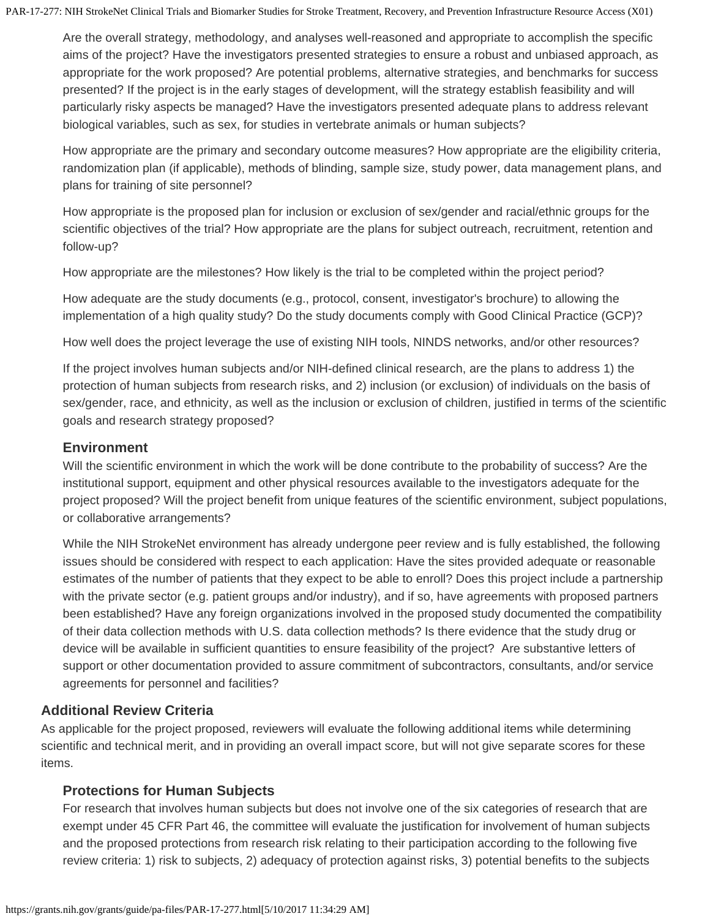Are the overall strategy, methodology, and analyses well-reasoned and appropriate to accomplish the specific aims of the project? Have the investigators presented strategies to ensure a robust and unbiased approach, as appropriate for the work proposed? Are potential problems, alternative strategies, and benchmarks for success presented? If the project is in the early stages of development, will the strategy establish feasibility and will particularly risky aspects be managed? Have the investigators presented adequate plans to address relevant biological variables, such as sex, for studies in vertebrate animals or human subjects?

How appropriate are the primary and secondary outcome measures? How appropriate are the eligibility criteria, randomization plan (if applicable), methods of blinding, sample size, study power, data management plans, and plans for training of site personnel?

How appropriate is the proposed plan for inclusion or exclusion of sex/gender and racial/ethnic groups for the scientific objectives of the trial? How appropriate are the plans for subject outreach, recruitment, retention and follow-up?

How appropriate are the milestones? How likely is the trial to be completed within the project period?

How adequate are the study documents (e.g., protocol, consent, investigator's brochure) to allowing the implementation of a high quality study? Do the study documents comply with Good Clinical Practice (GCP)?

How well does the project leverage the use of existing NIH tools, NINDS networks, and/or other resources?

If the project involves human subjects and/or NIH-defined clinical research, are the plans to address 1) the protection of human subjects from research risks, and 2) inclusion (or exclusion) of individuals on the basis of sex/gender, race, and ethnicity, as well as the inclusion or exclusion of children, justified in terms of the scientific goals and research strategy proposed?

### **Environment**

Will the scientific environment in which the work will be done contribute to the probability of success? Are the institutional support, equipment and other physical resources available to the investigators adequate for the project proposed? Will the project benefit from unique features of the scientific environment, subject populations, or collaborative arrangements?

While the NIH StrokeNet environment has already undergone peer review and is fully established, the following issues should be considered with respect to each application: Have the sites provided adequate or reasonable estimates of the number of patients that they expect to be able to enroll? Does this project include a partnership with the private sector (e.g. patient groups and/or industry), and if so, have agreements with proposed partners been established? Have any foreign organizations involved in the proposed study documented the compatibility of their data collection methods with U.S. data collection methods? Is there evidence that the study drug or device will be available in sufficient quantities to ensure feasibility of the project? Are substantive letters of support or other documentation provided to assure commitment of subcontractors, consultants, and/or service agreements for personnel and facilities?

## **Additional Review Criteria**

As applicable for the project proposed, reviewers will evaluate the following additional items while determining scientific and technical merit, and in providing an overall impact score, but will not give separate scores for these items.

## **Protections for Human Subjects**

For research that involves human subjects but does not involve one of the six categories of research that are exempt under 45 CFR Part 46, the committee will evaluate the justification for involvement of human subjects and the proposed protections from research risk relating to their participation according to the following five review criteria: 1) risk to subjects, 2) adequacy of protection against risks, 3) potential benefits to the subjects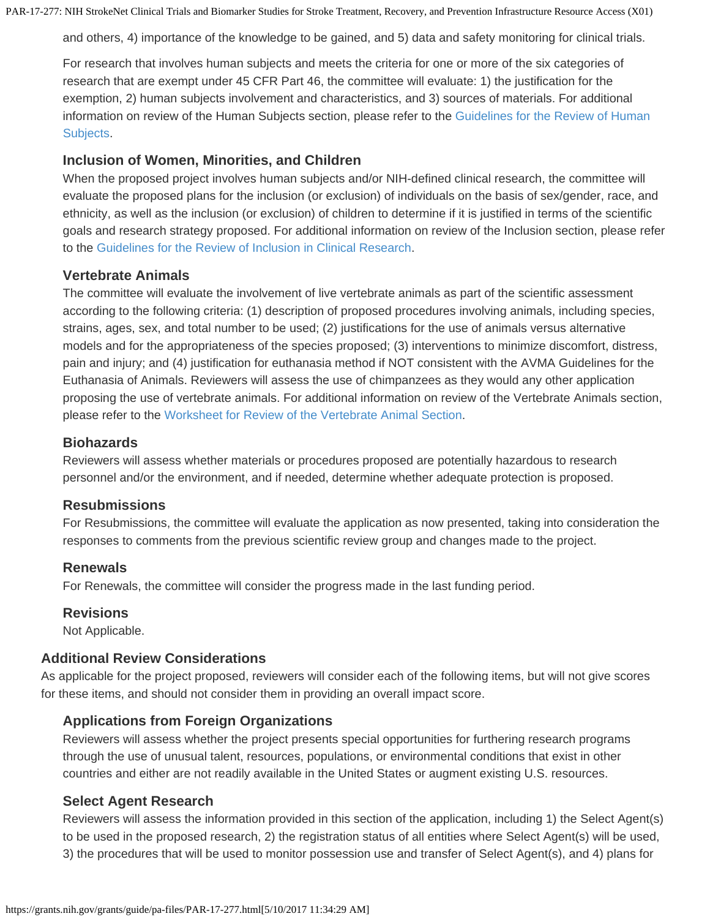and others, 4) importance of the knowledge to be gained, and 5) data and safety monitoring for clinical trials.

For research that involves human subjects and meets the criteria for one or more of the six categories of research that are exempt under 45 CFR Part 46, the committee will evaluate: 1) the justification for the exemption, 2) human subjects involvement and characteristics, and 3) sources of materials. For additional information on review of the Human Subjects section, please refer to the [Guidelines for the Review of Human](https://grants.nih.gov/grants/guide/url_redirect.htm?id=11175) [Subjects](https://grants.nih.gov/grants/guide/url_redirect.htm?id=11175).

#### **Inclusion of Women, Minorities, and Children**

When the proposed project involves human subjects and/or NIH-defined clinical research, the committee will evaluate the proposed plans for the inclusion (or exclusion) of individuals on the basis of sex/gender, race, and ethnicity, as well as the inclusion (or exclusion) of children to determine if it is justified in terms of the scientific goals and research strategy proposed. For additional information on review of the Inclusion section, please refer to the [Guidelines for the Review of Inclusion](https://grants.nih.gov/grants/guide/url_redirect.htm?id=11174) [in Clinical Research](https://grants.nih.gov/grants/guide/url_redirect.htm?id=11174).

#### **Vertebrate Animals**

The committee will evaluate the involvement of live vertebrate animals as part of the scientific assessment according to the following criteria: (1) description of proposed procedures involving animals, including species, strains, ages, sex, and total number to be used; (2) justifications for the use of animals versus alternative models and for the appropriateness of the species proposed; (3) interventions to minimize discomfort, distress, pain and injury; and (4) justification for euthanasia method if NOT consistent with the AVMA Guidelines for the Euthanasia of Animals. Reviewers will assess the use of chimpanzees as they would any other application proposing the use of vertebrate animals. For additional information on review of the Vertebrate Animals section, please refer to the [Worksheet](https://grants.nih.gov/grants/guide/url_redirect.htm?id=11150) [for Review of the Vertebrate Animal Section](https://grants.nih.gov/grants/guide/url_redirect.htm?id=11150).

#### **Biohazards**

Reviewers will assess whether materials or procedures proposed are potentially hazardous to research personnel and/or the environment, and if needed, determine whether adequate protection is proposed.

#### **Resubmissions**

For Resubmissions, the committee will evaluate the application as now presented, taking into consideration the responses to comments from the previous scientific review group and changes made to the project.

#### **Renewals**

For Renewals, the committee will consider the progress made in the last funding period.

#### **Revisions**

Not Applicable.

#### **Additional Review Considerations**

As applicable for the project proposed, reviewers will consider each of the following items, but will not give scores for these items, and should not consider them in providing an overall impact score.

#### **Applications from Foreign Organizations**

Reviewers will assess whether the project presents special opportunities for furthering research programs through the use of unusual talent, resources, populations, or environmental conditions that exist in other countries and either are not readily available in the United States or augment existing U.S. resources.

#### **Select Agent Research**

Reviewers will assess the information provided in this section of the application, including 1) the Select Agent(s) to be used in the proposed research, 2) the registration status of all entities where Select Agent(s) will be used, 3) the procedures that will be used to monitor possession use and transfer of Select Agent(s), and 4) plans for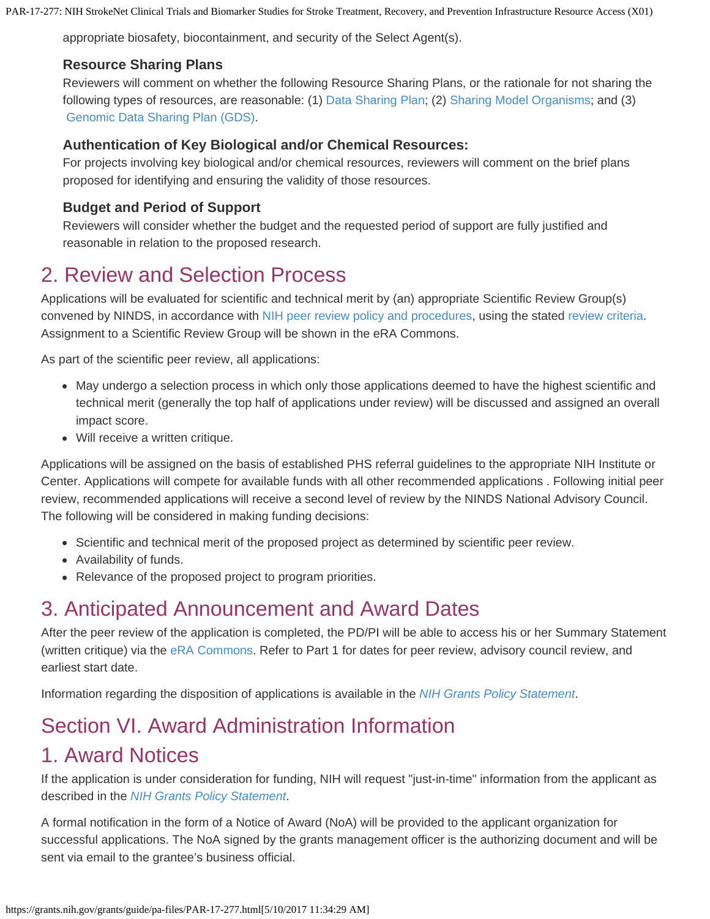appropriate biosafety, biocontainment, and security of the Select Agent(s).

### **Resource Sharing Plans**

Reviewers will comment on whether the following Resource Sharing Plans, or the rationale for not sharing the following types of resources, are reasonable: (1) [Data](https://grants.nih.gov/grants/guide/url_redirect.htm?id=11151) [Sharing Plan](https://grants.nih.gov/grants/guide/url_redirect.htm?id=11151); (2) [Sharing](https://grants.nih.gov/grants/guide/url_redirect.htm?id=11152) [Model Organisms](https://grants.nih.gov/grants/guide/url_redirect.htm?id=11152); and (3) [Genomic Data Sharing Plan \(GDS\)](https://grants.nih.gov/grants/guide/url_redirect.htm?id=11153).

### **Authentication of Key Biological and/or Chemical Resources:**

For projects involving key biological and/or chemical resources, reviewers will comment on the brief plans proposed for identifying and ensuring the validity of those resources.

## **Budget and Period of Support**

Reviewers will consider whether the budget and the requested period of support are fully justified and reasonable in relation to the proposed research.

# 2. Review and Selection Process

Applications will be evaluated for scientific and technical merit by (an) appropriate Scientific Review Group(s) convened by NINDS, in accordance with [NIH peer](https://grants.nih.gov/grants/guide/url_redirect.htm?id=11154) [review policy and procedures](https://grants.nih.gov/grants/guide/url_redirect.htm?id=11154), using the stated [review](#page-15-1) [criteria.](#page-15-1) Assignment to a Scientific Review Group will be shown in the eRA Commons.

As part of the scientific peer review, all applications:

- May undergo a selection process in which only those applications deemed to have the highest scientific and technical merit (generally the top half of applications under review) will be discussed and assigned an overall impact score.
- Will receive a written critique.

Applications will be assigned on the basis of established PHS referral guidelines to the appropriate NIH Institute or Center. Applications will compete for available funds with all other recommended applications . Following initial peer review, recommended applications will receive a second level of review by the NINDS National Advisory Council. The following will be considered in making funding decisions:

- Scientific and technical merit of the proposed project as determined by scientific peer review.
- Availability of funds.
- Relevance of the proposed project to program priorities.

# 3. Anticipated Announcement and Award Dates

After the peer review of the application is completed, the PD/PI will be able to access his or her Summary Statement (written critique) via the [eRA](https://grants.nih.gov/grants/guide/url_redirect.htm?id=11123) [Commons](https://grants.nih.gov/grants/guide/url_redirect.htm?id=11123). Refer to Part 1 for dates for peer review, advisory council review, and earliest start date.

Information regarding the disposition of applications is available in the *[NIH](https://grants.nih.gov/grants/guide/url_redirect.htm?id=11156) [Grants Policy Statement](https://grants.nih.gov/grants/guide/url_redirect.htm?id=11156)*.

# <span id="page-19-0"></span>Section VI. Award Administration Information

# 1. Award Notices

If the application is under consideration for funding, NIH will request "just-in-time" information from the applicant as described in the *[NIH](https://grants.nih.gov/grants/guide/url_redirect.htm?id=11157) [Grants Policy Statement](https://grants.nih.gov/grants/guide/url_redirect.htm?id=11157)*.

A formal notification in the form of a Notice of Award (NoA) will be provided to the applicant organization for successful applications. The NoA signed by the grants management officer is the authorizing document and will be sent via email to the grantee's business official.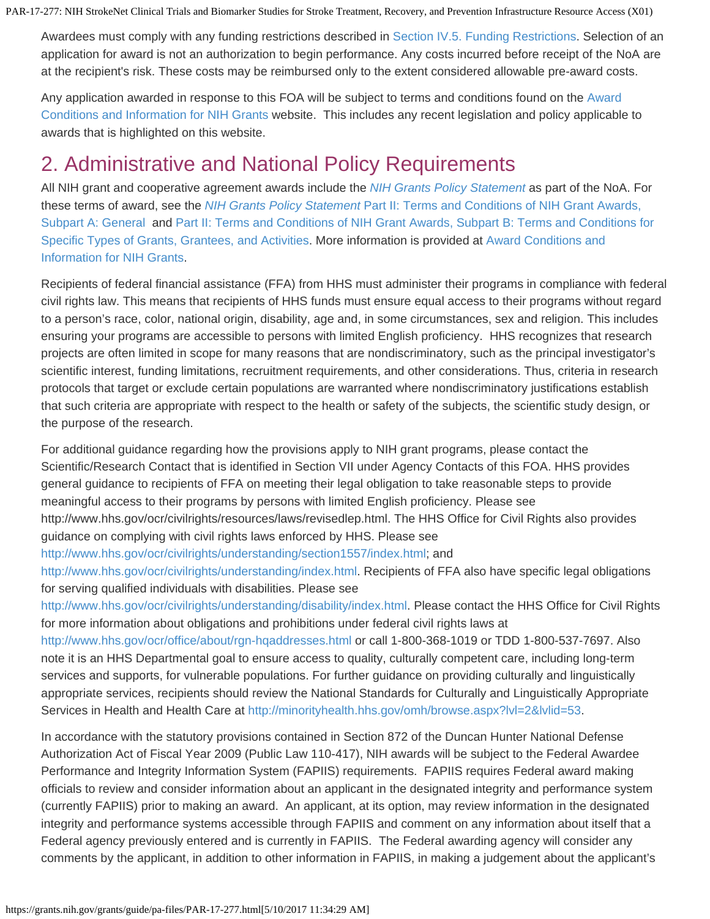Awardees must comply with any funding restrictions described in [Section IV.5. Funding Restrictions](#page-14-0). Selection of an application for award is not an authorization to begin performance. Any costs incurred before receipt of the NoA are at the recipient's risk. These costs may be reimbursed only to the extent considered allowable pre-award costs.

Any application awarded in response to this FOA will be subject to terms and conditions found on the [Award](https://grants.nih.gov/grants/guide/url_redirect.htm?id=11158) [Conditions and Information for NIH Grants](https://grants.nih.gov/grants/guide/url_redirect.htm?id=11158) website. This includes any recent legislation and policy applicable to awards that is highlighted on this website.

# 2. Administrative and National Policy Requirements

All NIH grant and cooperative agreement awards include the *[NIH](https://grants.nih.gov/grants/guide/url_redirect.htm?id=11120) [Grants Policy Statement](https://grants.nih.gov/grants/guide/url_redirect.htm?id=11120)* as part of the NoA. For these terms of award, see the *[NIH](https://grants.nih.gov/grants/guide/url_redirect.htm?id=11157) [Grants Policy Statement](https://grants.nih.gov/grants/guide/url_redirect.htm?id=11157)* [Part II: Terms and Conditions of NIH Grant Awards,](https://grants.nih.gov/grants/guide/url_redirect.htm?id=11157) [Subpart A: General](https://grants.nih.gov/grants/guide/url_redirect.htm?id=11157) and [Part II:](https://grants.nih.gov/grants/guide/url_redirect.htm?id=11159) [Terms and Conditions of NIH Grant Awards, Subpart B: Terms and Conditions for](https://grants.nih.gov/grants/guide/url_redirect.htm?id=11159) [Specific Types of Grants, Grantees, and Activities.](https://grants.nih.gov/grants/guide/url_redirect.htm?id=11159) More information is provided at [Award](https://grants.nih.gov/grants/guide/url_redirect.htm?id=11158) [Conditions and](https://grants.nih.gov/grants/guide/url_redirect.htm?id=11158) [Information for NIH Grants.](https://grants.nih.gov/grants/guide/url_redirect.htm?id=11158)

Recipients of federal financial assistance (FFA) from HHS must administer their programs in compliance with federal civil rights law. This means that recipients of HHS funds must ensure equal access to their programs without regard to a person's race, color, national origin, disability, age and, in some circumstances, sex and religion. This includes ensuring your programs are accessible to persons with limited English proficiency. HHS recognizes that research projects are often limited in scope for many reasons that are nondiscriminatory, such as the principal investigator's scientific interest, funding limitations, recruitment requirements, and other considerations. Thus, criteria in research protocols that target or exclude certain populations are warranted where nondiscriminatory justifications establish that such criteria are appropriate with respect to the health or safety of the subjects, the scientific study design, or the purpose of the research.

For additional guidance regarding how the provisions apply to NIH grant programs, please contact the Scientific/Research Contact that is identified in Section VII under Agency Contacts of this FOA. HHS provides general guidance to recipients of FFA on meeting their legal obligation to take reasonable steps to provide meaningful access to their programs by persons with limited English proficiency. Please see http://www.hhs.gov/ocr/civilrights/resources/laws/revisedlep.html. The HHS Office for Civil Rights also provides guidance on complying with civil rights laws enforced by HHS. Please see

[http://www.hhs.gov/ocr/civilrights/understanding/section1557/index.html;](http://www.hhs.gov/ocr/civilrights/understanding/section1557/index.html) and

<http://www.hhs.gov/ocr/civilrights/understanding/index.html>. Recipients of FFA also have specific legal obligations for serving qualified individuals with disabilities. Please see

<http://www.hhs.gov/ocr/civilrights/understanding/disability/index.html>. Please contact the HHS Office for Civil Rights for more information about obligations and prohibitions under federal civil rights laws at

<http://www.hhs.gov/ocr/office/about/rgn-hqaddresses.html>or call 1-800-368-1019 or TDD 1-800-537-7697. Also note it is an HHS Departmental goal to ensure access to quality, culturally competent care, including long-term services and supports, for vulnerable populations. For further guidance on providing culturally and linguistically appropriate services, recipients should review the National Standards for Culturally and Linguistically Appropriate Services in Health and Health Care at<http://minorityhealth.hhs.gov/omh/browse.aspx?lvl=2&lvlid=53>.

In accordance with the statutory provisions contained in Section 872 of the Duncan Hunter National Defense Authorization Act of Fiscal Year 2009 (Public Law 110-417), NIH awards will be subject to the Federal Awardee Performance and Integrity Information System (FAPIIS) requirements. FAPIIS requires Federal award making officials to review and consider information about an applicant in the designated integrity and performance system (currently FAPIIS) prior to making an award. An applicant, at its option, may review information in the designated integrity and performance systems accessible through FAPIIS and comment on any information about itself that a Federal agency previously entered and is currently in FAPIIS. The Federal awarding agency will consider any comments by the applicant, in addition to other information in FAPIIS, in making a judgement about the applicant's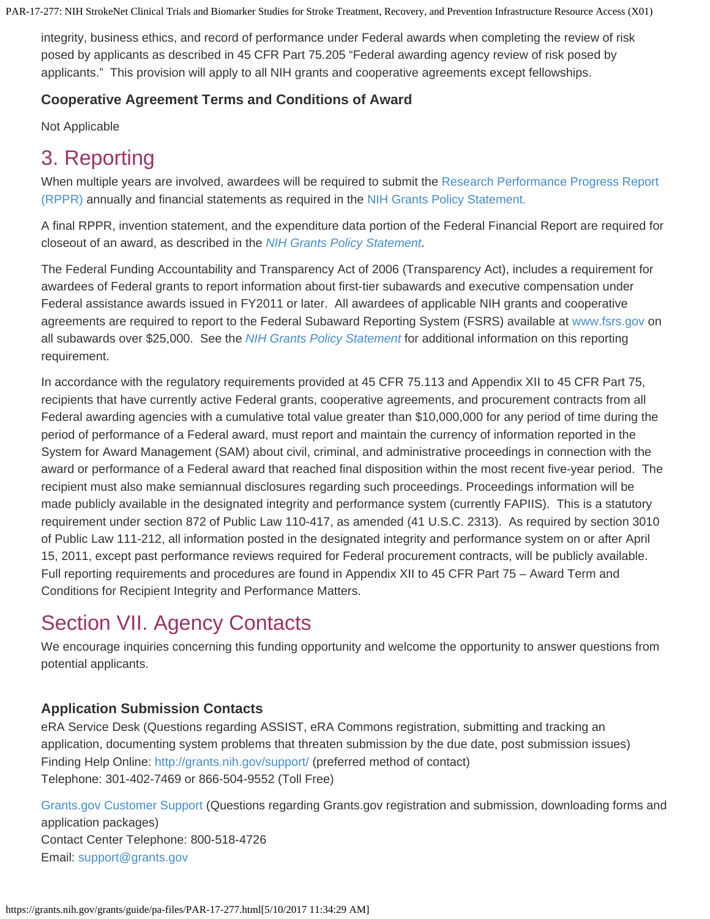integrity, business ethics, and record of performance under Federal awards when completing the review of risk posed by applicants as described in 45 CFR Part 75.205 "Federal awarding agency review of risk posed by applicants." This provision will apply to all NIH grants and cooperative agreements except fellowships.

## **Cooperative Agreement Terms and Conditions of Award**

Not Applicable

# 3. Reporting

When multiple years are involved, awardees will be required to submit the [Research](https://grants.nih.gov/grants/rppr/index.htm) [Performance Progress Report](https://grants.nih.gov/grants/rppr/index.htm) [\(RPPR\)](https://grants.nih.gov/grants/rppr/index.htm) annually and financial statements as required in the [NIH Grants](https://grants.nih.gov/grants/guide/url_redirect.htm?id=11161) [Policy Statement.](https://grants.nih.gov/grants/guide/url_redirect.htm?id=11161)

A final RPPR, invention statement, and the expenditure data portion of the Federal Financial Report are required for closeout of an award, as described in the *[NIH](https://grants.nih.gov/grants/guide/url_redirect.htm?id=11161) [Grants Policy Statement](https://grants.nih.gov/grants/guide/url_redirect.htm?id=11161)*.

The Federal Funding Accountability and Transparency Act of 2006 (Transparency Act), includes a requirement for awardees of Federal grants to report information about first-tier subawards and executive compensation under Federal assistance awards issued in FY2011 or later. All awardees of applicable NIH grants and cooperative agreements are required to report to the Federal Subaward Reporting System (FSRS) available at [www.fsrs.gov](https://grants.nih.gov/grants/guide/url_redirect.htm?id=11170) on all subawards over \$25,000. See the *[NIH](https://grants.nih.gov/grants/guide/url_redirect.htm?id=11171) [Grants Policy Statement](https://grants.nih.gov/grants/guide/url_redirect.htm?id=11171)* for additional information on this reporting requirement.

In accordance with the regulatory requirements provided at 45 CFR 75.113 and Appendix XII to 45 CFR Part 75, recipients that have currently active Federal grants, cooperative agreements, and procurement contracts from all Federal awarding agencies with a cumulative total value greater than \$10,000,000 for any period of time during the period of performance of a Federal award, must report and maintain the currency of information reported in the System for Award Management (SAM) about civil, criminal, and administrative proceedings in connection with the award or performance of a Federal award that reached final disposition within the most recent five-year period. The recipient must also make semiannual disclosures regarding such proceedings. Proceedings information will be made publicly available in the designated integrity and performance system (currently FAPIIS). This is a statutory requirement under section 872 of Public Law 110-417, as amended (41 U.S.C. 2313). As required by section 3010 of Public Law 111-212, all information posted in the designated integrity and performance system on or after April 15, 2011, except past performance reviews required for Federal procurement contracts, will be publicly available. Full reporting requirements and procedures are found in Appendix XII to 45 CFR Part 75 – Award Term and Conditions for Recipient Integrity and Performance Matters.

# <span id="page-21-0"></span>Section VII. Agency Contacts

We encourage inquiries concerning this funding opportunity and welcome the opportunity to answer questions from potential applicants.

# **Application Submission Contacts**

eRA Service Desk (Questions regarding ASSIST, eRA Commons registration, submitting and tracking an application, documenting system problems that threaten submission by the due date, post submission issues) Finding Help Online: [http://grants.nih.gov/support/](https://grants.nih.gov/support/) (preferred method of contact) Telephone: 301-402-7469 or 866-504-9552 (Toll Free)

[Grants.gov](https://grants.nih.gov/grants/guide/url_redirect.htm?id=82301) [Customer Support](https://grants.nih.gov/grants/guide/url_redirect.htm?id=82301) (Questions regarding Grants.gov registration and submission, downloading forms and application packages) Contact Center Telephone: 800-518-4726 Email: [support@grants.gov](mailto:support@grants.gov)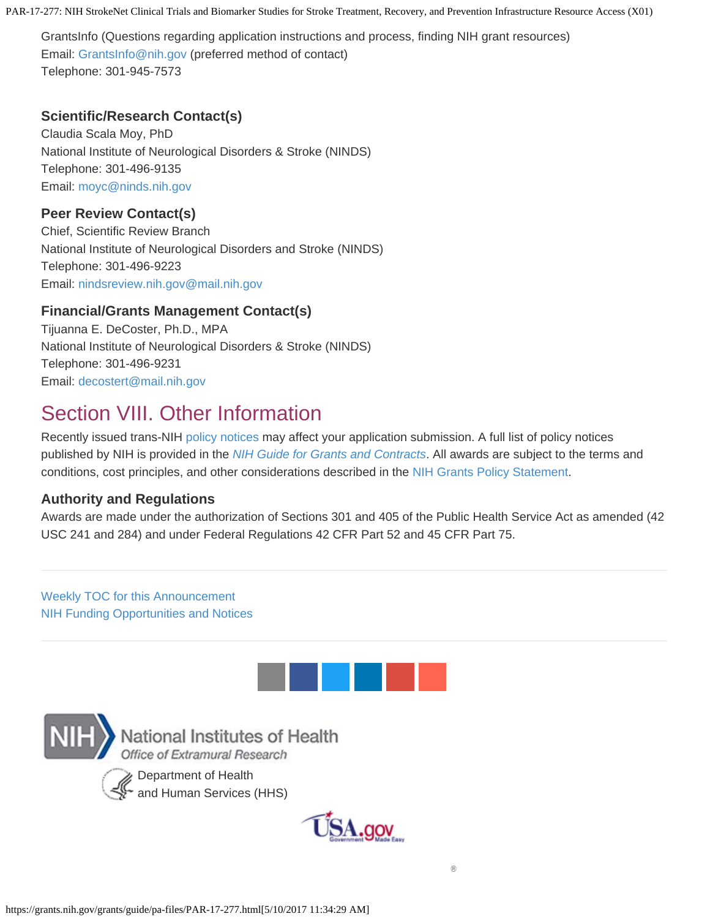GrantsInfo (Questions regarding application instructions and process, finding NIH grant resources) Email: [GrantsInfo@nih.gov](mailto:GrantsInfo@nih.gov) (preferred method of contact) Telephone: 301-945-7573

## **Scientific/Research Contact(s)**

Claudia Scala Moy, PhD National Institute of Neurological Disorders & Stroke (NINDS) Telephone: 301-496-9135 Email: [moyc@ninds.nih.gov](mailto:moyc@ninds.nih.gov)

### **Peer Review Contact(s)**

Chief, Scientific Review Branch National Institute of Neurological Disorders and Stroke (NINDS) Telephone: 301-496-9223 Email: [nindsreview.nih.gov@mail.nih.gov](mailto:nindsreview.nih.gov@mail.nih.gov)

## **Financial/Grants Management Contact(s)**

Tijuanna E. DeCoster, Ph.D., MPA National Institute of Neurological Disorders & Stroke (NINDS) Telephone: 301-496-9231 Email: [decostert@mail.nih.gov](mailto:decostert@mail.nih.gov)

# <span id="page-22-0"></span>Section VIII. Other Information

Recently issued trans-NIH [policy](https://grants.nih.gov/grants/guide/url_redirect.htm?id=11163) [notices](https://grants.nih.gov/grants/guide/url_redirect.htm?id=11163) may affect your application submission. A full list of policy notices published by NIH is provided in the *[NIH](https://grants.nih.gov/grants/guide/url_redirect.htm?id=11164) [Guide for Grants and Contracts](https://grants.nih.gov/grants/guide/url_redirect.htm?id=11164)*. All awards are subject to the terms and conditions, cost principles, and other considerations described in the [NIH Grants Policy Statement](https://grants.nih.gov/grants/guide/url_redirect.htm?id=11120).

#### **Authority and Regulations**

Awards are made under the authorization of Sections 301 and 405 of the Public Health Service Act as amended (42 USC 241 and 284) and under Federal Regulations 42 CFR Part 52 and 45 CFR Part 75.

## [Weekly TOC for this Announcement](https://grants.nih.gov/grants/guide/WeeklyIndex.cfm?05-12-17) [NIH Funding Opportunities and Notices](https://grants.nih.gov/grants/guide/index.html)







®